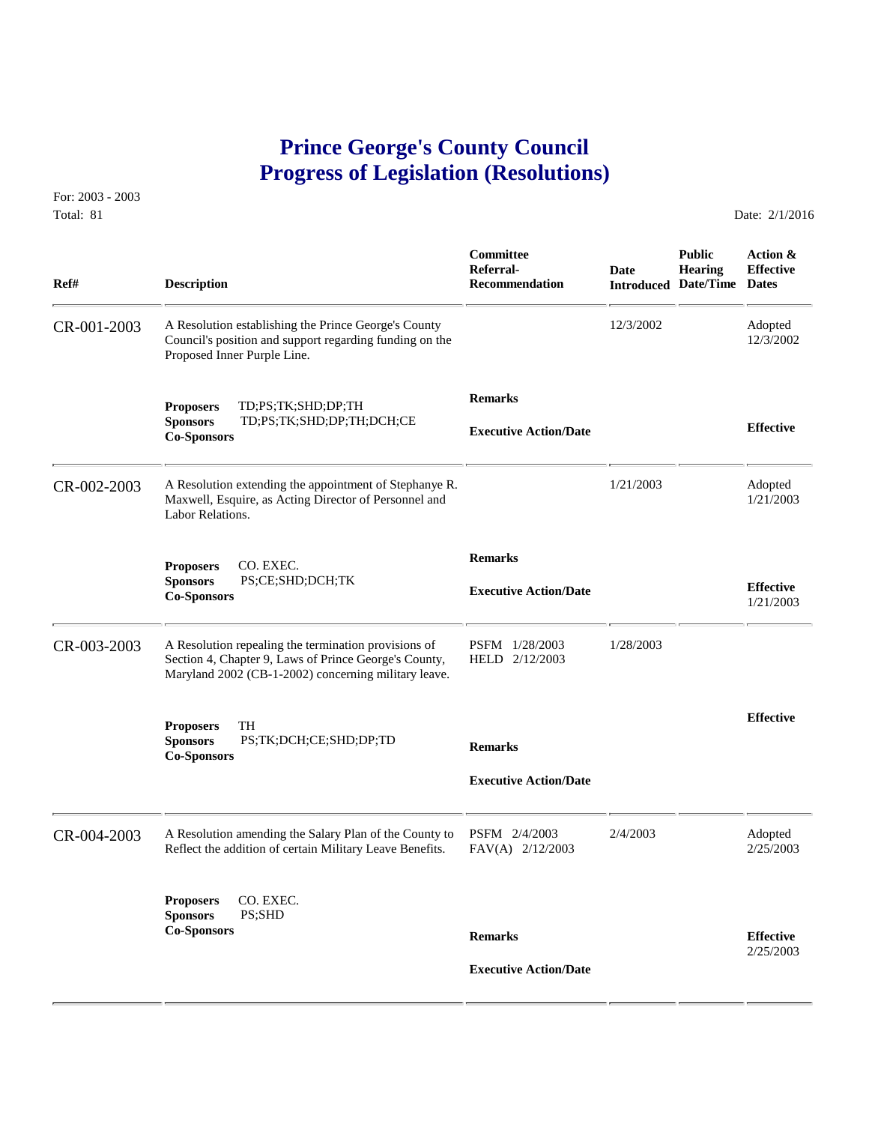## **Prince George's County Council Progress of Legislation (Resolutions)**

For: 2003 - 2003 Total: 81 Date: 2/1/2016

 **Committee Public Action & Referral- Date Hearing Effective Ref# Description Recommendation Introduced Date/Time Dates** CR-001-2003 A Resolution establishing the Prince George's County 12/3/2002 Adopted<br>Council's position and support regarding funding on the 12/3/2002 12/3/2002 Council's position and support regarding funding on the Proposed Inner Purple Line.  **Remarks Proposers** TD;PS;TK;SHD;DP;TH **Sponsors** TD;PS;TK;SHD;DP;TH;DCH;CE **Effective Executive Action/Date Co-Sponsors**  CR-002-2003 A Resolution extending the appointment of Stephanye R. 1/21/2003 Adopted Maxwell, Esquire, as Acting Director of Personnel and 1/21/2003 1/21/2003 Maxwell, Esquire, as Acting Director of Personnel and Labor Relations.  **Remarks Proposers** CO. EXEC. **Sponsors** PS;CE;SHD;DCH;TK **Effective Executive Action/Date Co-Sponsors** 1/21/2003 CR-003-2003 A Resolution repealing the termination provisions of PSFM 1/28/2003 1/28/2003<br>Section 4, Chapter 9, Laws of Prince George's County, HELD 2/12/2003 Section 4, Chapter 9, Laws of Prince George's County, Maryland 2002 (CB-1-2002) concerning military leave. **Effective Proposers** TH **Sponsors** PS;TK;DCH;CE;SHD;DP;TD **Remarks Co-Sponsors Executive Action/Date** CR-004-2003 A Resolution amending the Salary Plan of the County to PSFM 2/4/2003 2/4/2003 Adopted<br>Reflect the addition of certain Military Leave Benefits. FAV(A) 2/12/2003 2/25/2003 2/25/2003 Reflect the addition of certain Military Leave Benefits. **Proposers** CO. EXEC. **Sponsors** PS;SHD **Co-Sponsors Remarks Effective** 2/25/2003  **Executive Action/Date**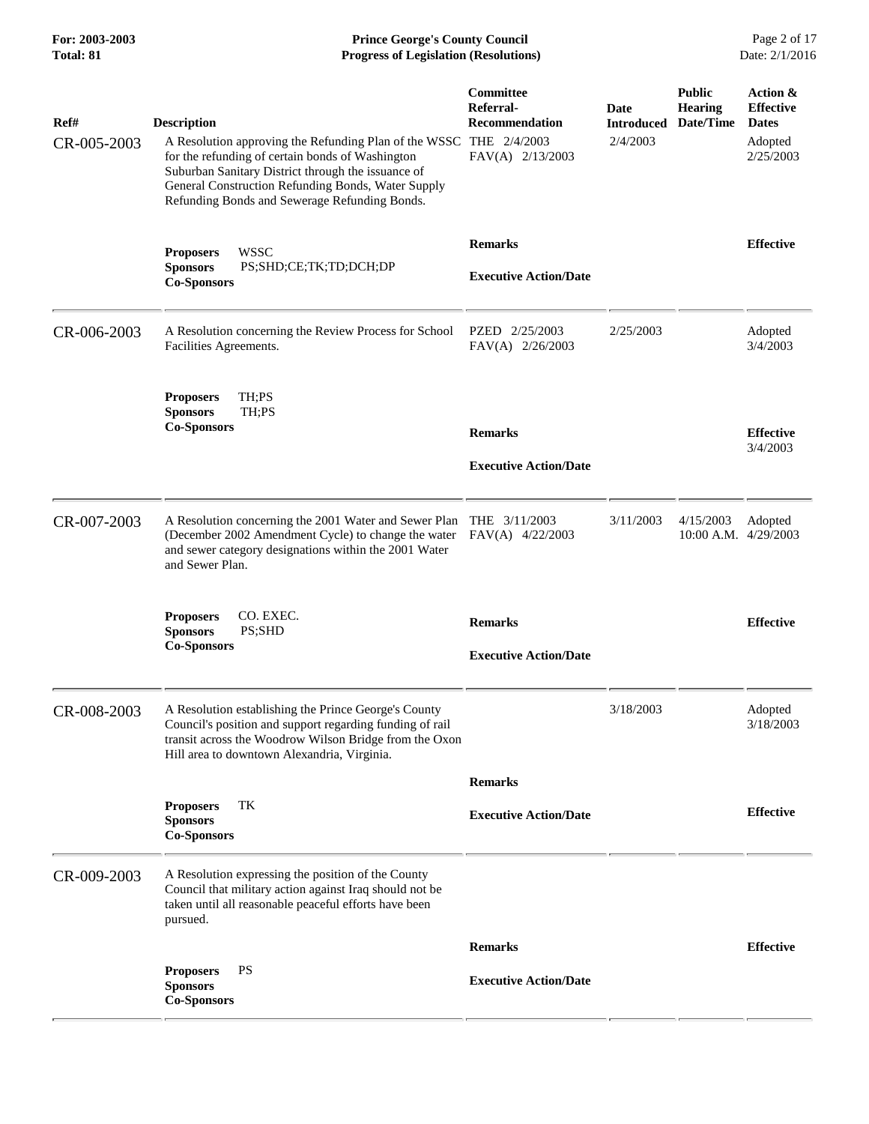**For: 2003-2003 Prince George's County Council** Page 2 of 17<br> **Prince George's County Council** Page 2 of 17<br> **Progress of Legislation (Resolutions)** Date: 2/1/2016 **Total: 81 Progress of Legislation (Resolutions)** 

| Ref#<br>CR-005-2003 | <b>Description</b><br>A Resolution approving the Refunding Plan of the WSSC THE 2/4/2003<br>for the refunding of certain bonds of Washington<br>Suburban Sanitary District through the issuance of<br>General Construction Refunding Bonds, Water Supply<br>Refunding Bonds and Sewerage Refunding Bonds. | Committee<br>Referral-<br><b>Recommendation</b><br>FAV(A) 2/13/2003 | Date<br><b>Introduced</b><br>2/4/2003 | <b>Public</b><br><b>Hearing</b><br>Date/Time | Action &<br><b>Effective</b><br><b>Dates</b><br>Adopted<br>2/25/2003 |
|---------------------|-----------------------------------------------------------------------------------------------------------------------------------------------------------------------------------------------------------------------------------------------------------------------------------------------------------|---------------------------------------------------------------------|---------------------------------------|----------------------------------------------|----------------------------------------------------------------------|
|                     | <b>WSSC</b><br><b>Proposers</b><br><b>Sponsors</b><br>PS;SHD;CE;TK;TD;DCH;DP<br><b>Co-Sponsors</b>                                                                                                                                                                                                        | <b>Remarks</b><br><b>Executive Action/Date</b>                      |                                       |                                              | <b>Effective</b>                                                     |
| CR-006-2003         | A Resolution concerning the Review Process for School<br>Facilities Agreements.                                                                                                                                                                                                                           | PZED 2/25/2003<br>FAV(A) 2/26/2003                                  | 2/25/2003                             |                                              | Adopted<br>3/4/2003                                                  |
|                     | <b>Proposers</b><br>TH:PS<br><b>Sponsors</b><br>TH;PS<br><b>Co-Sponsors</b>                                                                                                                                                                                                                               | <b>Remarks</b><br><b>Executive Action/Date</b>                      |                                       |                                              | <b>Effective</b><br>3/4/2003                                         |
| CR-007-2003         | A Resolution concerning the 2001 Water and Sewer Plan THE 3/11/2003<br>(December 2002 Amendment Cycle) to change the water<br>and sewer category designations within the 2001 Water<br>and Sewer Plan.                                                                                                    | FAV(A) 4/22/2003                                                    | 3/11/2003                             | 4/15/2003<br>$10:00$ A.M. $4/29/2003$        | Adopted                                                              |
|                     | CO. EXEC.<br><b>Proposers</b><br><b>Sponsors</b><br>PS;SHD<br><b>Co-Sponsors</b>                                                                                                                                                                                                                          | <b>Remarks</b><br><b>Executive Action/Date</b>                      |                                       |                                              | <b>Effective</b>                                                     |
| CR-008-2003         | A Resolution establishing the Prince George's County<br>Council's position and support regarding funding of rail<br>transit across the Woodrow Wilson Bridge from the Oxon<br>Hill area to downtown Alexandria, Virginia.                                                                                 |                                                                     | 3/18/2003                             |                                              | Adopted<br>3/18/2003                                                 |
|                     | <b>Proposers</b><br>TК<br><b>Sponsors</b><br><b>Co-Sponsors</b>                                                                                                                                                                                                                                           | <b>Remarks</b><br><b>Executive Action/Date</b>                      |                                       |                                              | <b>Effective</b>                                                     |
| CR-009-2003         | A Resolution expressing the position of the County<br>Council that military action against Iraq should not be<br>taken until all reasonable peaceful efforts have been<br>pursued.                                                                                                                        |                                                                     |                                       |                                              |                                                                      |
|                     |                                                                                                                                                                                                                                                                                                           | <b>Remarks</b>                                                      |                                       |                                              | <b>Effective</b>                                                     |
|                     | PS<br><b>Proposers</b><br><b>Sponsors</b><br><b>Co-Sponsors</b>                                                                                                                                                                                                                                           | <b>Executive Action/Date</b>                                        |                                       |                                              |                                                                      |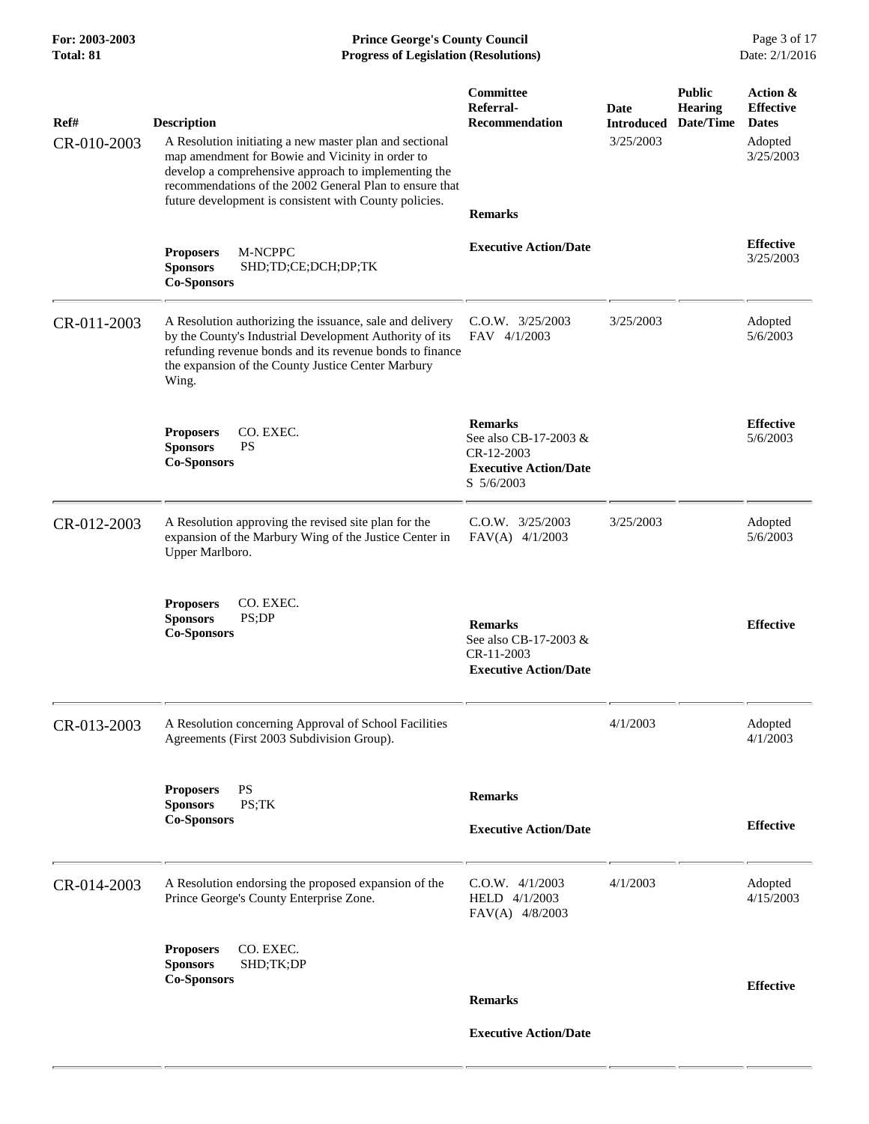| Ref#<br>CR-010-2003 | <b>Description</b><br>A Resolution initiating a new master plan and sectional<br>map amendment for Bowie and Vicinity in order to<br>develop a comprehensive approach to implementing the<br>recommendations of the 2002 General Plan to ensure that<br>future development is consistent with County policies. | Committee<br>Referral-<br><b>Recommendation</b><br><b>Remarks</b>                                   | Date<br><b>Introduced</b><br>3/25/2003 | <b>Public</b><br><b>Hearing</b><br>Date/Time | Action &<br><b>Effective</b><br><b>Dates</b><br>Adopted<br>3/25/2003 |
|---------------------|----------------------------------------------------------------------------------------------------------------------------------------------------------------------------------------------------------------------------------------------------------------------------------------------------------------|-----------------------------------------------------------------------------------------------------|----------------------------------------|----------------------------------------------|----------------------------------------------------------------------|
|                     | <b>Proposers</b><br>M-NCPPC<br>SHD;TD;CE;DCH;DP;TK<br><b>Sponsors</b><br><b>Co-Sponsors</b>                                                                                                                                                                                                                    | <b>Executive Action/Date</b>                                                                        |                                        |                                              | <b>Effective</b><br>3/25/2003                                        |
| CR-011-2003         | A Resolution authorizing the issuance, sale and delivery<br>by the County's Industrial Development Authority of its<br>refunding revenue bonds and its revenue bonds to finance<br>the expansion of the County Justice Center Marbury<br>Wing.                                                                 | $C.0.W.$ $3/25/2003$<br>FAV 4/1/2003                                                                | 3/25/2003                              |                                              | Adopted<br>5/6/2003                                                  |
|                     | <b>Proposers</b><br>CO. EXEC.<br><b>PS</b><br><b>Sponsors</b><br><b>Co-Sponsors</b>                                                                                                                                                                                                                            | <b>Remarks</b><br>See also CB-17-2003 &<br>CR-12-2003<br><b>Executive Action/Date</b><br>S 5/6/2003 |                                        |                                              | <b>Effective</b><br>5/6/2003                                         |
| CR-012-2003         | A Resolution approving the revised site plan for the<br>expansion of the Marbury Wing of the Justice Center in<br>Upper Marlboro.                                                                                                                                                                              | C.O.W. 3/25/2003<br>$FAV(A)$ 4/1/2003                                                               | 3/25/2003                              |                                              | Adopted<br>5/6/2003                                                  |
|                     | CO. EXEC.<br><b>Proposers</b><br>PS;DP<br><b>Sponsors</b><br><b>Co-Sponsors</b>                                                                                                                                                                                                                                | <b>Remarks</b><br>See also CB-17-2003 &<br>CR-11-2003<br><b>Executive Action/Date</b>               |                                        |                                              | <b>Effective</b>                                                     |
| CR-013-2003         | A Resolution concerning Approval of School Facilities<br>Agreements (First 2003 Subdivision Group).                                                                                                                                                                                                            |                                                                                                     | 4/1/2003                               |                                              | Adopted<br>4/1/2003                                                  |
|                     | <b>PS</b><br><b>Proposers</b><br><b>Sponsors</b><br>PS;TK<br><b>Co-Sponsors</b>                                                                                                                                                                                                                                | <b>Remarks</b><br><b>Executive Action/Date</b>                                                      |                                        |                                              | <b>Effective</b>                                                     |
| CR-014-2003         | A Resolution endorsing the proposed expansion of the<br>Prince George's County Enterprise Zone.                                                                                                                                                                                                                | $C.O.W.$ 4/1/2003<br>HELD 4/1/2003<br>FAV(A) 4/8/2003                                               | 4/1/2003                               |                                              | Adopted<br>4/15/2003                                                 |
|                     | CO. EXEC.<br><b>Proposers</b><br><b>Sponsors</b><br>SHD;TK;DP<br><b>Co-Sponsors</b>                                                                                                                                                                                                                            | <b>Remarks</b><br><b>Executive Action/Date</b>                                                      |                                        |                                              | <b>Effective</b>                                                     |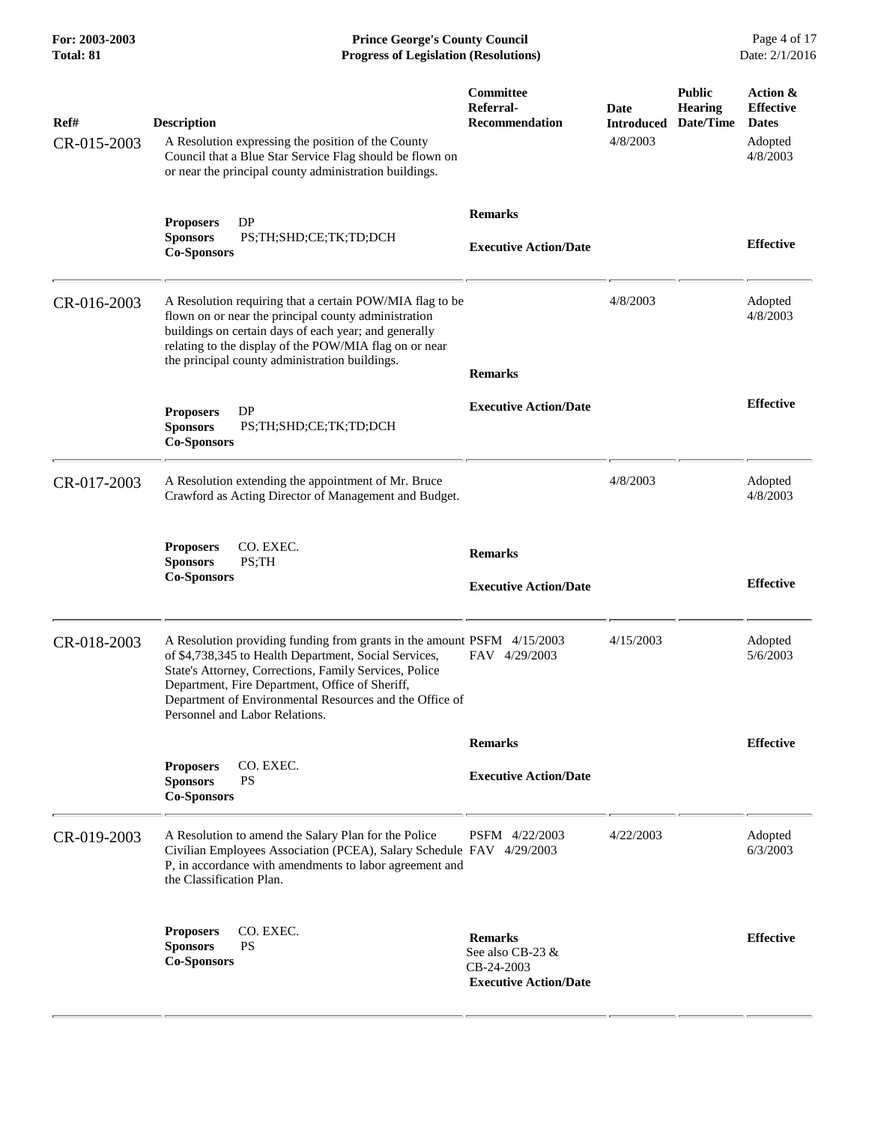**For: 2003-2003 Prince George's County Council** Page 4 of 17<br> **Prince George's County Council** Page 4 of 17<br> **Progress of Legislation (Resolutions)** Date: 2/1/2016 **Total: 81 Progress of Legislation (Resolutions)** 

| Ref#<br>CR-015-2003 | <b>Description</b><br>A Resolution expressing the position of the County<br>Council that a Blue Star Service Flag should be flown on<br>or near the principal county administration buildings.                                                                                                                                             | Committee<br>Referral-<br><b>Recommendation</b>                                  | Date<br><b>Introduced</b><br>4/8/2003 | <b>Public</b><br><b>Hearing</b><br>Date/Time | Action &<br><b>Effective</b><br><b>Dates</b><br>Adopted<br>4/8/2003 |
|---------------------|--------------------------------------------------------------------------------------------------------------------------------------------------------------------------------------------------------------------------------------------------------------------------------------------------------------------------------------------|----------------------------------------------------------------------------------|---------------------------------------|----------------------------------------------|---------------------------------------------------------------------|
|                     | DP<br><b>Proposers</b><br><b>Sponsors</b><br>PS;TH;SHD;CE;TK;TD;DCH<br><b>Co-Sponsors</b>                                                                                                                                                                                                                                                  | <b>Remarks</b><br><b>Executive Action/Date</b>                                   |                                       |                                              | <b>Effective</b>                                                    |
| CR-016-2003         | A Resolution requiring that a certain POW/MIA flag to be<br>flown on or near the principal county administration<br>buildings on certain days of each year; and generally<br>relating to the display of the POW/MIA flag on or near<br>the principal county administration buildings.                                                      | <b>Remarks</b>                                                                   | 4/8/2003                              |                                              | Adopted<br>4/8/2003                                                 |
|                     | <b>DP</b><br><b>Proposers</b><br><b>Sponsors</b><br>PS;TH;SHD;CE;TK;TD;DCH<br><b>Co-Sponsors</b>                                                                                                                                                                                                                                           | <b>Executive Action/Date</b>                                                     |                                       |                                              | <b>Effective</b>                                                    |
| CR-017-2003         | A Resolution extending the appointment of Mr. Bruce<br>Crawford as Acting Director of Management and Budget.                                                                                                                                                                                                                               |                                                                                  | 4/8/2003                              |                                              | Adopted<br>4/8/2003                                                 |
|                     | <b>Proposers</b><br>CO. EXEC.<br>PS;TH<br><b>Sponsors</b><br><b>Co-Sponsors</b>                                                                                                                                                                                                                                                            | <b>Remarks</b><br><b>Executive Action/Date</b>                                   |                                       |                                              | <b>Effective</b>                                                    |
| CR-018-2003         | A Resolution providing funding from grants in the amount PSFM 4/15/2003<br>of \$4,738,345 to Health Department, Social Services,<br>State's Attorney, Corrections, Family Services, Police<br>Department, Fire Department, Office of Sheriff,<br>Department of Environmental Resources and the Office of<br>Personnel and Labor Relations. | FAV 4/29/2003                                                                    | 4/15/2003                             |                                              | Adopted<br>5/6/2003                                                 |
|                     |                                                                                                                                                                                                                                                                                                                                            | <b>Remarks</b>                                                                   |                                       |                                              | <b>Effective</b>                                                    |
|                     | CO. EXEC.<br><b>Proposers</b><br><b>Sponsors</b><br><b>PS</b><br><b>Co-Sponsors</b>                                                                                                                                                                                                                                                        | <b>Executive Action/Date</b>                                                     |                                       |                                              |                                                                     |
| CR-019-2003         | A Resolution to amend the Salary Plan for the Police<br>Civilian Employees Association (PCEA), Salary Schedule FAV 4/29/2003<br>P, in accordance with amendments to labor agreement and<br>the Classification Plan.                                                                                                                        | PSFM 4/22/2003                                                                   | 4/22/2003                             |                                              | Adopted<br>6/3/2003                                                 |
|                     | CO. EXEC.<br><b>Proposers</b><br><b>PS</b><br><b>Sponsors</b><br><b>Co-Sponsors</b>                                                                                                                                                                                                                                                        | <b>Remarks</b><br>See also CB-23 &<br>CB-24-2003<br><b>Executive Action/Date</b> |                                       |                                              | <b>Effective</b>                                                    |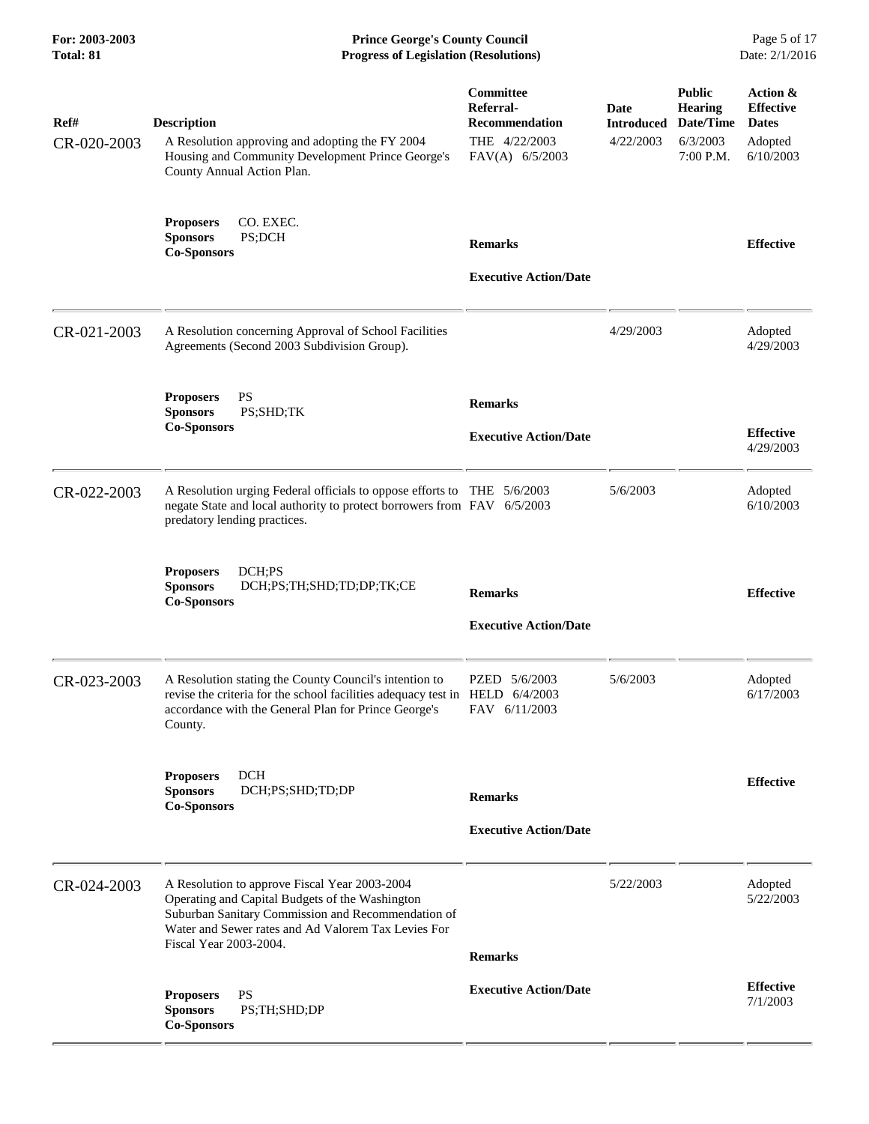**For: 2003-2003 Prince George's County Council** Page 5 of 17<br> **Prince George's County Council** Page 5 of 17<br> **Progress of Legislation (Resolutions)** Date: 2/1/2016 **Total: 81 Progress of Legislation (Resolutions)** 

| Ref#<br>CR-020-2003 | <b>Description</b><br>A Resolution approving and adopting the FY 2004<br>Housing and Community Development Prince George's<br>County Annual Action Plan.                                                                                | Committee<br>Referral-<br><b>Recommendation</b><br>THE 4/22/2003<br>FAV(A) 6/5/2003 | Date<br><b>Introduced</b><br>4/22/2003 | <b>Public</b><br><b>Hearing</b><br>Date/Time<br>6/3/2003<br>7:00 P.M. | Action &<br><b>Effective</b><br><b>Dates</b><br>Adopted<br>6/10/2003 |
|---------------------|-----------------------------------------------------------------------------------------------------------------------------------------------------------------------------------------------------------------------------------------|-------------------------------------------------------------------------------------|----------------------------------------|-----------------------------------------------------------------------|----------------------------------------------------------------------|
|                     | <b>Proposers</b><br>CO. EXEC.<br>PS;DCH<br><b>Sponsors</b><br><b>Co-Sponsors</b>                                                                                                                                                        | <b>Remarks</b><br><b>Executive Action/Date</b>                                      |                                        |                                                                       | <b>Effective</b>                                                     |
| CR-021-2003         | A Resolution concerning Approval of School Facilities<br>Agreements (Second 2003 Subdivision Group).                                                                                                                                    |                                                                                     | 4/29/2003                              |                                                                       | Adopted<br>4/29/2003                                                 |
|                     | <b>Proposers</b><br>PS<br>PS;SHD;TK<br><b>Sponsors</b><br><b>Co-Sponsors</b>                                                                                                                                                            | <b>Remarks</b><br><b>Executive Action/Date</b>                                      |                                        |                                                                       | <b>Effective</b><br>4/29/2003                                        |
| CR-022-2003         | A Resolution urging Federal officials to oppose efforts to THE 5/6/2003<br>negate State and local authority to protect borrowers from FAV 6/5/2003<br>predatory lending practices.                                                      |                                                                                     | 5/6/2003                               |                                                                       | Adopted<br>6/10/2003                                                 |
|                     | <b>Proposers</b><br>DCH;PS<br><b>Sponsors</b><br>DCH;PS;TH;SHD;TD;DP;TK;CE<br><b>Co-Sponsors</b>                                                                                                                                        | <b>Remarks</b><br><b>Executive Action/Date</b>                                      |                                        |                                                                       | <b>Effective</b>                                                     |
| CR-023-2003         | A Resolution stating the County Council's intention to<br>revise the criteria for the school facilities adequacy test in HELD 6/4/2003<br>accordance with the General Plan for Prince George's<br>County.                               | PZED 5/6/2003<br>FAV 6/11/2003                                                      | 5/6/2003                               |                                                                       | Adopted<br>6/17/2003                                                 |
|                     | <b>DCH</b><br><b>Proposers</b><br>DCH;PS;SHD;TD;DP<br><b>Sponsors</b><br><b>Co-Sponsors</b>                                                                                                                                             | <b>Remarks</b><br><b>Executive Action/Date</b>                                      |                                        |                                                                       | <b>Effective</b>                                                     |
| CR-024-2003         | A Resolution to approve Fiscal Year 2003-2004<br>Operating and Capital Budgets of the Washington<br>Suburban Sanitary Commission and Recommendation of<br>Water and Sewer rates and Ad Valorem Tax Levies For<br>Fiscal Year 2003-2004. | <b>Remarks</b>                                                                      | 5/22/2003                              |                                                                       | Adopted<br>5/22/2003                                                 |
|                     | <b>PS</b><br><b>Proposers</b><br><b>Sponsors</b><br>PS;TH;SHD;DP<br><b>Co-Sponsors</b>                                                                                                                                                  | <b>Executive Action/Date</b>                                                        |                                        |                                                                       | <b>Effective</b><br>7/1/2003                                         |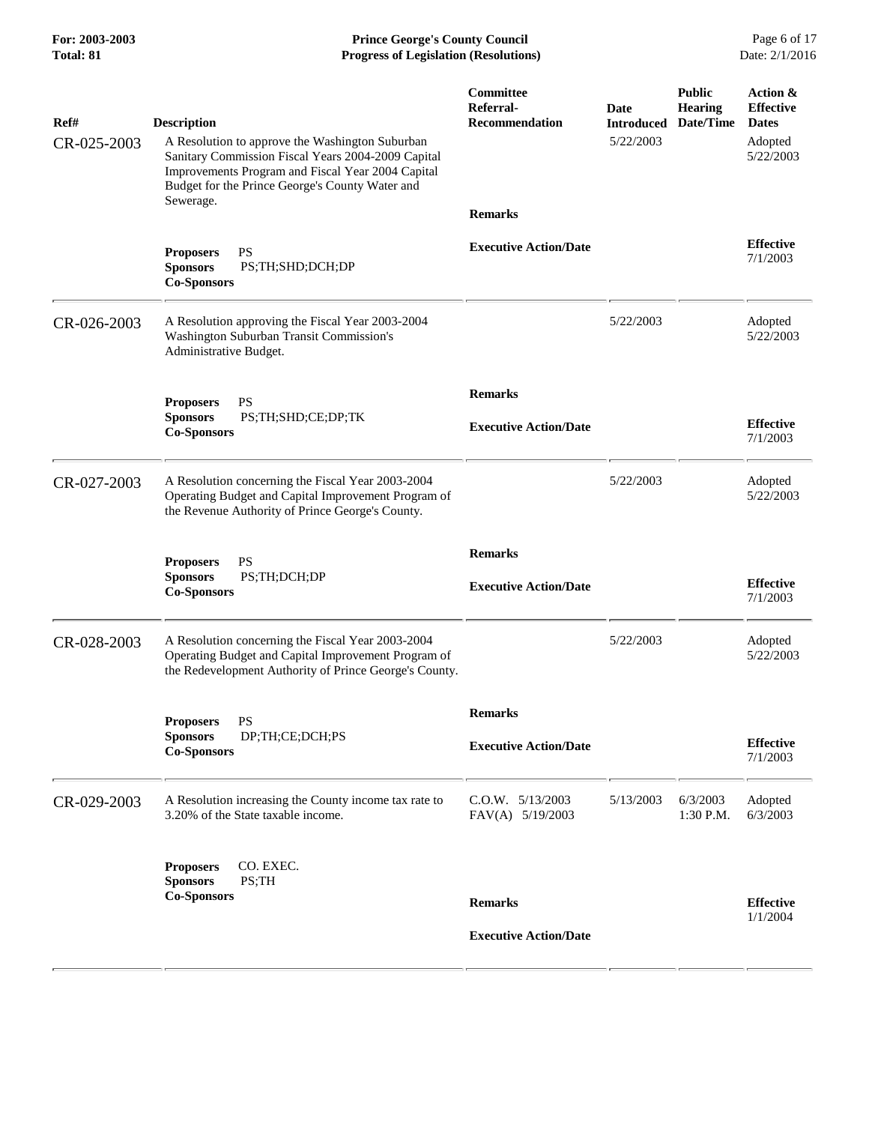**For: 2003-2003 Prince George's County Council** Page 6 of 17<br> **Prince George's County Council** Page 6 of 17<br> **Progress of Legislation (Resolutions)** Date: 2/1/2016 **Total: 81 Progress of Legislation (Resolutions)** 

| Ref#<br>CR-025-2003 | <b>Description</b><br>A Resolution to approve the Washington Suburban<br>Sanitary Commission Fiscal Years 2004-2009 Capital<br>Improvements Program and Fiscal Year 2004 Capital<br>Budget for the Prince George's County Water and<br>Sewerage. | Committee<br>Referral-<br><b>Recommendation</b><br><b>Remarks</b> | Date<br><b>Introduced</b><br>5/22/2003 | <b>Public</b><br><b>Hearing</b><br>Date/Time | Action &<br><b>Effective</b><br><b>Dates</b><br>Adopted<br>5/22/2003 |
|---------------------|--------------------------------------------------------------------------------------------------------------------------------------------------------------------------------------------------------------------------------------------------|-------------------------------------------------------------------|----------------------------------------|----------------------------------------------|----------------------------------------------------------------------|
|                     | <b>PS</b><br><b>Proposers</b><br><b>Sponsors</b><br>PS;TH;SHD;DCH;DP<br><b>Co-Sponsors</b>                                                                                                                                                       | <b>Executive Action/Date</b>                                      |                                        |                                              | <b>Effective</b><br>7/1/2003                                         |
| CR-026-2003         | A Resolution approving the Fiscal Year 2003-2004<br>Washington Suburban Transit Commission's<br>Administrative Budget.                                                                                                                           |                                                                   | 5/22/2003                              |                                              | Adopted<br>5/22/2003                                                 |
|                     |                                                                                                                                                                                                                                                  | <b>Remarks</b>                                                    |                                        |                                              |                                                                      |
|                     | PS<br><b>Proposers</b><br>PS;TH;SHD;CE;DP;TK<br><b>Sponsors</b><br><b>Co-Sponsors</b>                                                                                                                                                            | <b>Executive Action/Date</b>                                      |                                        |                                              | <b>Effective</b><br>7/1/2003                                         |
| CR-027-2003         | A Resolution concerning the Fiscal Year 2003-2004<br>Operating Budget and Capital Improvement Program of<br>the Revenue Authority of Prince George's County.                                                                                     |                                                                   | 5/22/2003                              |                                              | Adopted<br>5/22/2003                                                 |
|                     | <b>PS</b><br><b>Proposers</b><br>PS;TH;DCH;DP<br><b>Sponsors</b><br><b>Co-Sponsors</b>                                                                                                                                                           | <b>Remarks</b><br><b>Executive Action/Date</b>                    |                                        |                                              | <b>Effective</b><br>7/1/2003                                         |
| CR-028-2003         | A Resolution concerning the Fiscal Year 2003-2004<br>Operating Budget and Capital Improvement Program of<br>the Redevelopment Authority of Prince George's County.                                                                               |                                                                   | 5/22/2003                              |                                              | Adopted<br>5/22/2003                                                 |
|                     | <b>Proposers</b><br>PS<br>DP;TH;CE;DCH;PS<br><b>Sponsors</b><br><b>Co-Sponsors</b>                                                                                                                                                               | <b>Remarks</b><br><b>Executive Action/Date</b>                    |                                        |                                              | <b>Effective</b><br>7/1/2003                                         |
| CR-029-2003         | A Resolution increasing the County income tax rate to<br>3.20% of the State taxable income.                                                                                                                                                      | C.O.W. 5/13/2003<br>FAV(A) 5/19/2003                              | 5/13/2003                              | 6/3/2003<br>1:30 P.M.                        | Adopted<br>6/3/2003                                                  |
|                     | CO. EXEC.<br><b>Proposers</b><br>PS;TH<br><b>Sponsors</b><br><b>Co-Sponsors</b>                                                                                                                                                                  | <b>Remarks</b><br><b>Executive Action/Date</b>                    |                                        |                                              | <b>Effective</b><br>1/1/2004                                         |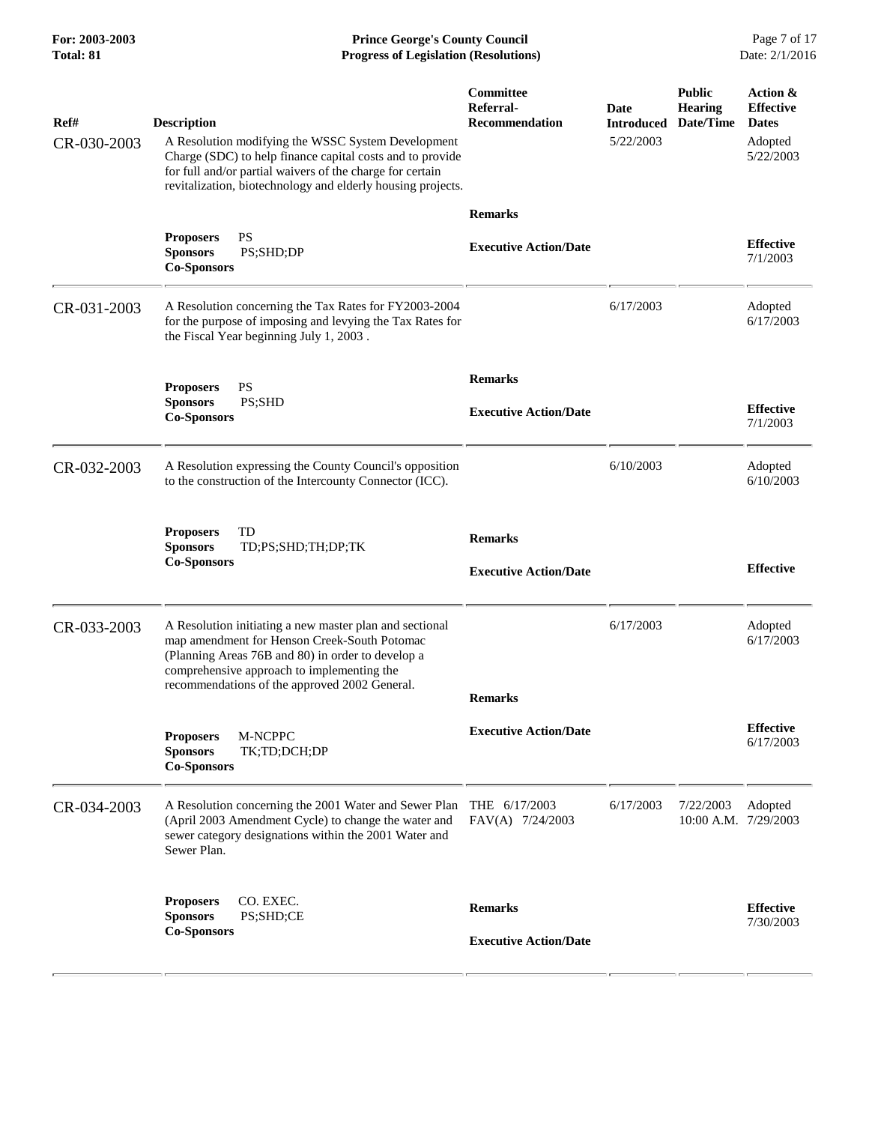| For: 2003-2003<br>Total: 81 | <b>Prince George's County Council</b><br>Date: 2/1/2016<br><b>Progress of Legislation (Resolutions)</b>                                                                                                                                                           |                                                 |                                               |                                              |                                                                      |
|-----------------------------|-------------------------------------------------------------------------------------------------------------------------------------------------------------------------------------------------------------------------------------------------------------------|-------------------------------------------------|-----------------------------------------------|----------------------------------------------|----------------------------------------------------------------------|
| Ref#<br>CR-030-2003         | <b>Description</b><br>A Resolution modifying the WSSC System Development<br>Charge (SDC) to help finance capital costs and to provide<br>for full and/or partial waivers of the charge for certain<br>revitalization, biotechnology and elderly housing projects. | Committee<br>Referral-<br><b>Recommendation</b> | <b>Date</b><br><b>Introduced</b><br>5/22/2003 | <b>Public</b><br><b>Hearing</b><br>Date/Time | Action &<br><b>Effective</b><br><b>Dates</b><br>Adopted<br>5/22/2003 |
|                             | <b>PS</b><br><b>Proposers</b><br>PS;SHD;DP<br><b>Sponsors</b><br><b>Co-Sponsors</b>                                                                                                                                                                               | <b>Remarks</b><br><b>Executive Action/Date</b>  |                                               |                                              | <b>Effective</b><br>7/1/2003                                         |
| CR-031-2003                 | A Resolution concerning the Tax Rates for FY2003-2004<br>for the purpose of imposing and levying the Tax Rates for<br>the Fiscal Year beginning July 1, 2003.                                                                                                     |                                                 | 6/17/2003                                     |                                              | Adopted<br>6/17/2003                                                 |
|                             | <b>PS</b><br><b>Proposers</b><br><b>Sponsors</b><br>PS;SHD<br><b>Co-Sponsors</b>                                                                                                                                                                                  | <b>Remarks</b><br><b>Executive Action/Date</b>  |                                               |                                              | <b>Effective</b><br>7/1/2003                                         |
| CR-032-2003                 | A Resolution expressing the County Council's opposition<br>to the construction of the Intercounty Connector (ICC).                                                                                                                                                |                                                 | 6/10/2003                                     |                                              | Adopted<br>6/10/2003                                                 |
|                             | TD<br><b>Proposers</b><br><b>Sponsors</b><br>TD;PS;SHD;TH;DP;TK<br><b>Co-Sponsors</b>                                                                                                                                                                             | <b>Remarks</b><br><b>Executive Action/Date</b>  |                                               |                                              | <b>Effective</b>                                                     |
| CR-033-2003                 | A Resolution initiating a new master plan and sectional<br>map amendment for Henson Creek-South Potomac<br>(Planning Areas 76B and 80) in order to develop a<br>comprehensive approach to implementing the<br>recommendations of the approved 2002 General.       | <b>Remarks</b>                                  | 6/17/2003                                     |                                              | Adopted<br>6/17/2003                                                 |
|                             | M-NCPPC<br><b>Proposers</b><br><b>Sponsors</b><br>TK;TD;DCH;DP<br><b>Co-Sponsors</b>                                                                                                                                                                              | <b>Executive Action/Date</b>                    |                                               |                                              | <b>Effective</b><br>6/17/2003                                        |
| CR-034-2003                 | A Resolution concerning the 2001 Water and Sewer Plan THE 6/17/2003<br>(April 2003 Amendment Cycle) to change the water and<br>sewer category designations within the 2001 Water and<br>Sewer Plan.                                                               | FAV(A) 7/24/2003                                | 6/17/2003                                     | 7/22/2003                                    | Adopted<br>10:00 A.M. 7/29/2003                                      |
|                             | CO. EXEC.<br><b>Proposers</b><br><b>Sponsors</b><br>PS;SHD;CE<br><b>Co-Sponsors</b>                                                                                                                                                                               | <b>Remarks</b><br><b>Executive Action/Date</b>  |                                               |                                              | <b>Effective</b><br>7/30/2003                                        |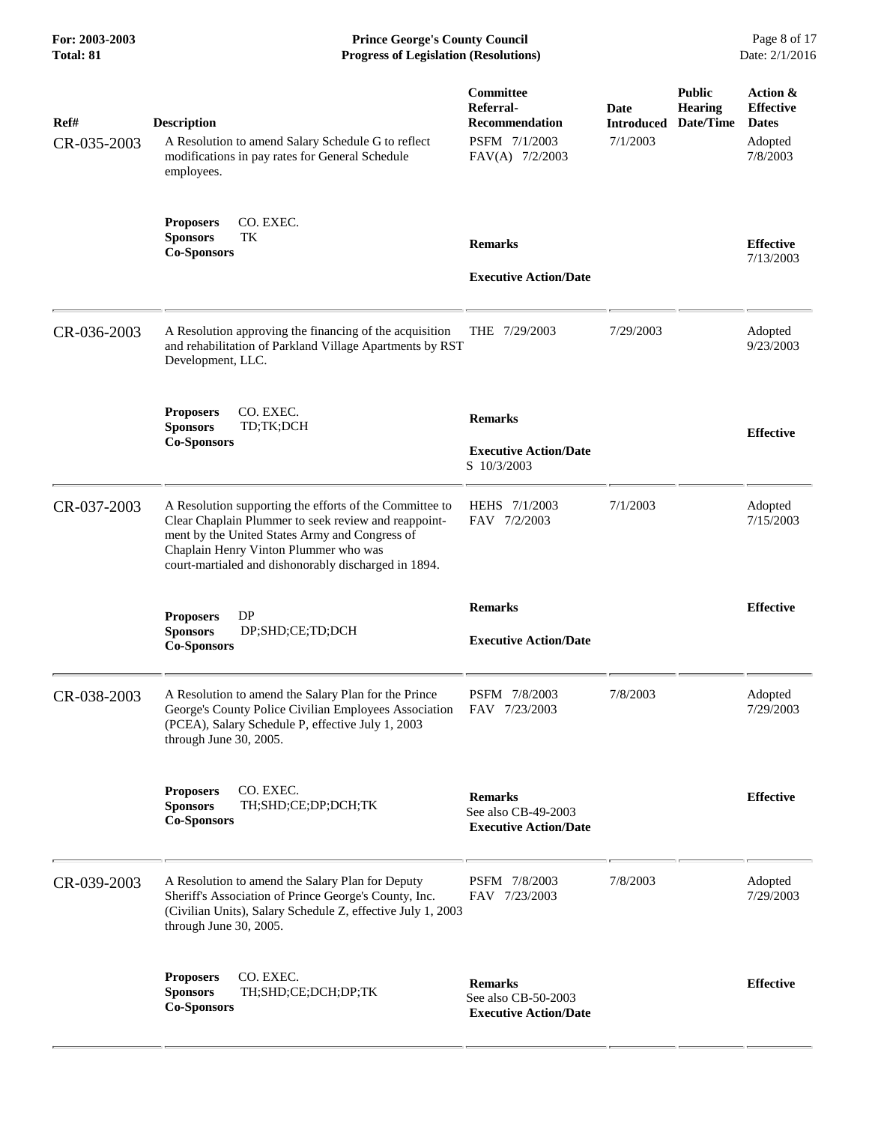**For: 2003-2003 Prince George's County Council** Page 8 of 17<br> **Prince George's County Council** Page 8 of 17<br> **Progress of Legislation (Resolutions)** Date: 2/1/2016 **Total: 81 Progress of Legislation (Resolutions)** 

| Ref#<br>CR-035-2003 | <b>Description</b><br>A Resolution to amend Salary Schedule G to reflect<br>modifications in pay rates for General Schedule<br>employees.                                                                                                                          | Committee<br>Referral-<br><b>Recommendation</b><br>PSFM 7/1/2003<br>FAV(A) 7/2/2003 | Date<br><b>Introduced</b><br>7/1/2003 | <b>Public</b><br><b>Hearing</b><br>Date/Time | Action &<br><b>Effective</b><br><b>Dates</b><br>Adopted<br>7/8/2003 |
|---------------------|--------------------------------------------------------------------------------------------------------------------------------------------------------------------------------------------------------------------------------------------------------------------|-------------------------------------------------------------------------------------|---------------------------------------|----------------------------------------------|---------------------------------------------------------------------|
|                     | CO. EXEC.<br><b>Proposers</b><br>TK<br><b>Sponsors</b><br><b>Co-Sponsors</b>                                                                                                                                                                                       | <b>Remarks</b><br><b>Executive Action/Date</b>                                      |                                       |                                              | <b>Effective</b><br>7/13/2003                                       |
| CR-036-2003         | A Resolution approving the financing of the acquisition<br>and rehabilitation of Parkland Village Apartments by RST<br>Development, LLC.                                                                                                                           | THE 7/29/2003                                                                       | 7/29/2003                             |                                              | Adopted<br>9/23/2003                                                |
|                     | CO. EXEC.<br><b>Proposers</b><br><b>Sponsors</b><br>TD;TK;DCH<br><b>Co-Sponsors</b>                                                                                                                                                                                | <b>Remarks</b><br><b>Executive Action/Date</b><br>S 10/3/2003                       |                                       |                                              | <b>Effective</b>                                                    |
| CR-037-2003         | A Resolution supporting the efforts of the Committee to<br>Clear Chaplain Plummer to seek review and reappoint-<br>ment by the United States Army and Congress of<br>Chaplain Henry Vinton Plummer who was<br>court-martialed and dishonorably discharged in 1894. | HEHS 7/1/2003<br>FAV 7/2/2003                                                       | 7/1/2003                              |                                              | Adopted<br>7/15/2003                                                |
|                     | <b>DP</b><br><b>Proposers</b><br><b>Sponsors</b><br>DP;SHD;CE;TD;DCH<br><b>Co-Sponsors</b>                                                                                                                                                                         | <b>Remarks</b><br><b>Executive Action/Date</b>                                      |                                       |                                              | <b>Effective</b>                                                    |
| CR-038-2003         | A Resolution to amend the Salary Plan for the Prince<br>George's County Police Civilian Employees Association<br>(PCEA), Salary Schedule P, effective July 1, 2003<br>through June 30, 2005.                                                                       | PSFM 7/8/2003<br>FAV 7/23/2003                                                      | 7/8/2003                              |                                              | Adopted<br>7/29/2003                                                |
|                     | CO. EXEC.<br><b>Proposers</b><br><b>Sponsors</b><br>TH;SHD;CE;DP;DCH;TK<br><b>Co-Sponsors</b>                                                                                                                                                                      | <b>Remarks</b><br>See also CB-49-2003<br><b>Executive Action/Date</b>               |                                       |                                              | <b>Effective</b>                                                    |
| CR-039-2003         | A Resolution to amend the Salary Plan for Deputy<br>Sheriff's Association of Prince George's County, Inc.<br>(Civilian Units), Salary Schedule Z, effective July 1, 2003<br>through June 30, 2005.                                                                 | PSFM 7/8/2003<br>FAV 7/23/2003                                                      | 7/8/2003                              |                                              | Adopted<br>7/29/2003                                                |
|                     | CO. EXEC.<br><b>Proposers</b><br><b>Sponsors</b><br>TH;SHD;CE;DCH;DP;TK<br><b>Co-Sponsors</b>                                                                                                                                                                      | <b>Remarks</b><br>See also CB-50-2003<br><b>Executive Action/Date</b>               |                                       |                                              | <b>Effective</b>                                                    |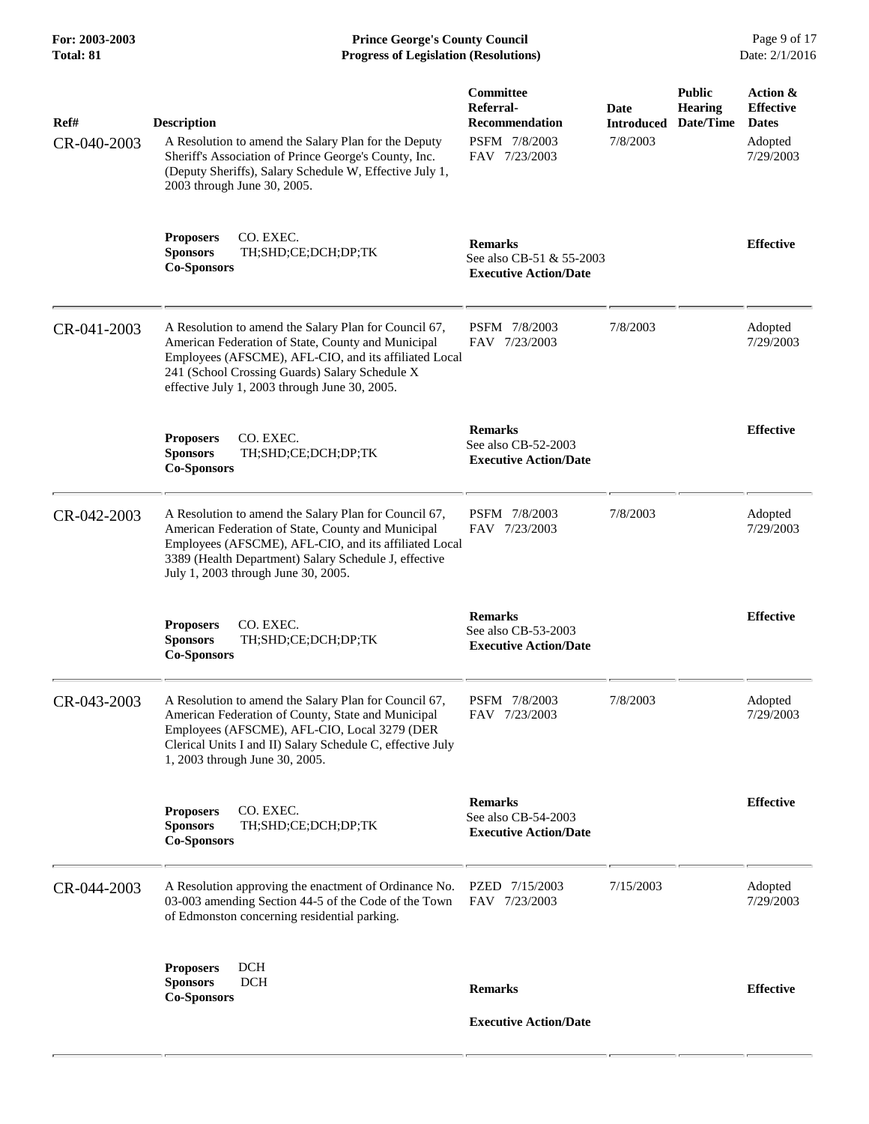**For: 2003-2003 Prince George's County Council** Page 9 of 17<br> **Prince George's County Council** Page 9 of 17<br> **Progress of Legislation (Resolutions)** Date: 2/1/2016 **Total: 81 Progress of Legislation (Resolutions)** 

| Ref#        | <b>Description</b>                                                                                                                                                                                                                                                      | Committee<br>Referral-<br><b>Recommendation</b>                            | Date<br><b>Introduced</b> | <b>Public</b><br><b>Hearing</b><br>Date/Time | Action &<br><b>Effective</b><br><b>Dates</b> |
|-------------|-------------------------------------------------------------------------------------------------------------------------------------------------------------------------------------------------------------------------------------------------------------------------|----------------------------------------------------------------------------|---------------------------|----------------------------------------------|----------------------------------------------|
| CR-040-2003 | A Resolution to amend the Salary Plan for the Deputy<br>Sheriff's Association of Prince George's County, Inc.<br>(Deputy Sheriffs), Salary Schedule W, Effective July 1,<br>2003 through June 30, 2005.                                                                 | PSFM 7/8/2003<br>FAV 7/23/2003                                             | 7/8/2003                  |                                              | Adopted<br>7/29/2003                         |
|             | CO. EXEC.<br><b>Proposers</b><br><b>Sponsors</b><br>TH;SHD;CE;DCH;DP;TK<br><b>Co-Sponsors</b>                                                                                                                                                                           | <b>Remarks</b><br>See also CB-51 & 55-2003<br><b>Executive Action/Date</b> |                           |                                              | <b>Effective</b>                             |
| CR-041-2003 | A Resolution to amend the Salary Plan for Council 67,<br>American Federation of State, County and Municipal<br>Employees (AFSCME), AFL-CIO, and its affiliated Local<br>241 (School Crossing Guards) Salary Schedule X<br>effective July 1, 2003 through June 30, 2005. | PSFM 7/8/2003<br>FAV 7/23/2003                                             | 7/8/2003                  |                                              | Adopted<br>7/29/2003                         |
|             | <b>Proposers</b><br>CO. EXEC.<br><b>Sponsors</b><br>TH;SHD;CE;DCH;DP;TK<br><b>Co-Sponsors</b>                                                                                                                                                                           | <b>Remarks</b><br>See also CB-52-2003<br><b>Executive Action/Date</b>      |                           |                                              | <b>Effective</b>                             |
| CR-042-2003 | A Resolution to amend the Salary Plan for Council 67,<br>American Federation of State, County and Municipal<br>Employees (AFSCME), AFL-CIO, and its affiliated Local<br>3389 (Health Department) Salary Schedule J, effective<br>July 1, 2003 through June 30, 2005.    | PSFM 7/8/2003<br>FAV 7/23/2003                                             | 7/8/2003                  |                                              | Adopted<br>7/29/2003                         |
|             | CO. EXEC.<br><b>Proposers</b><br><b>Sponsors</b><br>TH;SHD;CE;DCH;DP;TK<br><b>Co-Sponsors</b>                                                                                                                                                                           | <b>Remarks</b><br>See also CB-53-2003<br><b>Executive Action/Date</b>      |                           |                                              | <b>Effective</b>                             |
| CR-043-2003 | A Resolution to amend the Salary Plan for Council 67,<br>American Federation of County, State and Municipal<br>Employees (AFSCME), AFL-CIO, Local 3279 (DER<br>Clerical Units I and II) Salary Schedule C, effective July<br>1, 2003 through June 30, 2005.             | PSFM 7/8/2003<br>FAV 7/23/2003                                             | 7/8/2003                  |                                              | Adopted<br>7/29/2003                         |
|             | CO. EXEC.<br><b>Proposers</b><br>TH;SHD;CE;DCH;DP;TK<br><b>Sponsors</b><br><b>Co-Sponsors</b>                                                                                                                                                                           | <b>Remarks</b><br>See also CB-54-2003<br><b>Executive Action/Date</b>      |                           |                                              | <b>Effective</b>                             |
| CR-044-2003 | A Resolution approving the enactment of Ordinance No.<br>03-003 amending Section 44-5 of the Code of the Town<br>of Edmonston concerning residential parking.                                                                                                           | PZED 7/15/2003<br>FAV 7/23/2003                                            | 7/15/2003                 |                                              | Adopted<br>7/29/2003                         |
|             | <b>Proposers</b><br><b>DCH</b><br><b>DCH</b><br><b>Sponsors</b><br><b>Co-Sponsors</b>                                                                                                                                                                                   | <b>Remarks</b>                                                             |                           |                                              | <b>Effective</b>                             |
|             |                                                                                                                                                                                                                                                                         | <b>Executive Action/Date</b>                                               |                           |                                              |                                              |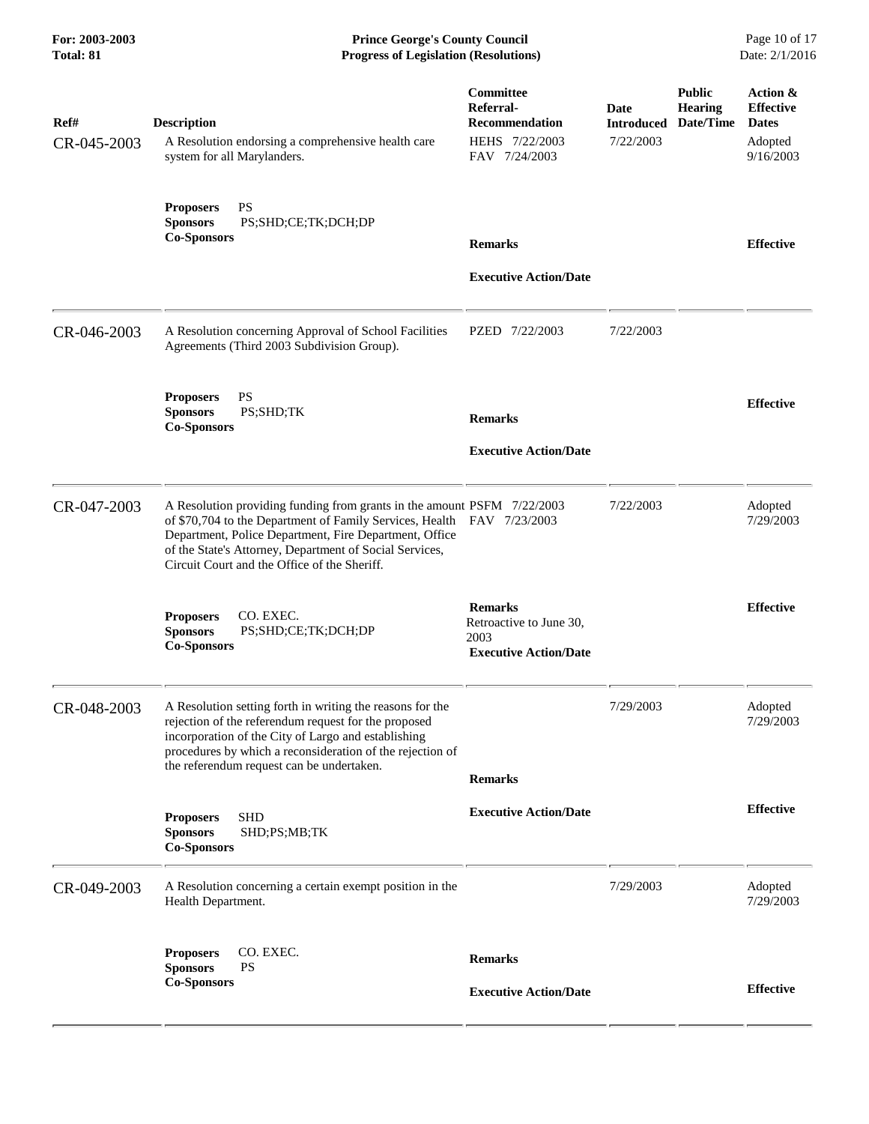**For: 2003-2003 Prince George's County Council** Page 10 of 17<br> **Prince George's County Council** Page 10 of 17<br> **Progress of Legislation (Resolutions)** Date: 2/1/2016 **Total: 81 Progress of Legislation (Resolutions)** 

| Ref#<br>CR-045-2003 | <b>Description</b><br>A Resolution endorsing a comprehensive health care<br>system for all Marylanders.                                                                                                                                                                                                                | Committee<br>Referral-<br><b>Recommendation</b><br>HEHS 7/22/2003<br>FAV 7/24/2003 | Date<br><b>Introduced</b><br>7/22/2003 | <b>Public</b><br><b>Hearing</b><br>Date/Time | Action &<br><b>Effective</b><br><b>Dates</b><br>Adopted<br>9/16/2003 |
|---------------------|------------------------------------------------------------------------------------------------------------------------------------------------------------------------------------------------------------------------------------------------------------------------------------------------------------------------|------------------------------------------------------------------------------------|----------------------------------------|----------------------------------------------|----------------------------------------------------------------------|
|                     | PS<br><b>Proposers</b><br><b>Sponsors</b><br>PS;SHD;CE;TK;DCH;DP<br><b>Co-Sponsors</b>                                                                                                                                                                                                                                 | <b>Remarks</b><br><b>Executive Action/Date</b>                                     |                                        |                                              | <b>Effective</b>                                                     |
| CR-046-2003         | A Resolution concerning Approval of School Facilities<br>Agreements (Third 2003 Subdivision Group).                                                                                                                                                                                                                    | PZED 7/22/2003                                                                     | 7/22/2003                              |                                              |                                                                      |
|                     | <b>PS</b><br><b>Proposers</b><br>PS;SHD;TK<br><b>Sponsors</b><br><b>Co-Sponsors</b>                                                                                                                                                                                                                                    | <b>Remarks</b><br><b>Executive Action/Date</b>                                     |                                        |                                              | <b>Effective</b>                                                     |
| CR-047-2003         | A Resolution providing funding from grants in the amount PSFM 7/22/2003<br>of \$70,704 to the Department of Family Services, Health FAV 7/23/2003<br>Department, Police Department, Fire Department, Office<br>of the State's Attorney, Department of Social Services,<br>Circuit Court and the Office of the Sheriff. |                                                                                    | 7/22/2003                              |                                              | Adopted<br>7/29/2003                                                 |
|                     | CO. EXEC.<br><b>Proposers</b><br><b>Sponsors</b><br>PS;SHD;CE;TK;DCH;DP<br><b>Co-Sponsors</b>                                                                                                                                                                                                                          | <b>Remarks</b><br>Retroactive to June 30,<br>2003<br><b>Executive Action/Date</b>  |                                        |                                              | <b>Effective</b>                                                     |
| CR-048-2003         | A Resolution setting forth in writing the reasons for the<br>rejection of the referendum request for the proposed<br>incorporation of the City of Largo and establishing<br>procedures by which a reconsideration of the rejection of<br>the referendum request can be undertaken.                                     | <b>Remarks</b>                                                                     | 7/29/2003                              |                                              | Adopted<br>7/29/2003                                                 |
|                     | <b>SHD</b><br><b>Proposers</b><br><b>Sponsors</b><br>SHD;PS;MB;TK<br><b>Co-Sponsors</b>                                                                                                                                                                                                                                | <b>Executive Action/Date</b>                                                       |                                        |                                              | <b>Effective</b>                                                     |
| CR-049-2003         | A Resolution concerning a certain exempt position in the<br>Health Department.                                                                                                                                                                                                                                         |                                                                                    | 7/29/2003                              |                                              | Adopted<br>7/29/2003                                                 |
|                     | CO. EXEC.<br><b>Proposers</b><br><b>Sponsors</b><br><b>PS</b><br><b>Co-Sponsors</b>                                                                                                                                                                                                                                    | <b>Remarks</b><br><b>Executive Action/Date</b>                                     |                                        |                                              | <b>Effective</b>                                                     |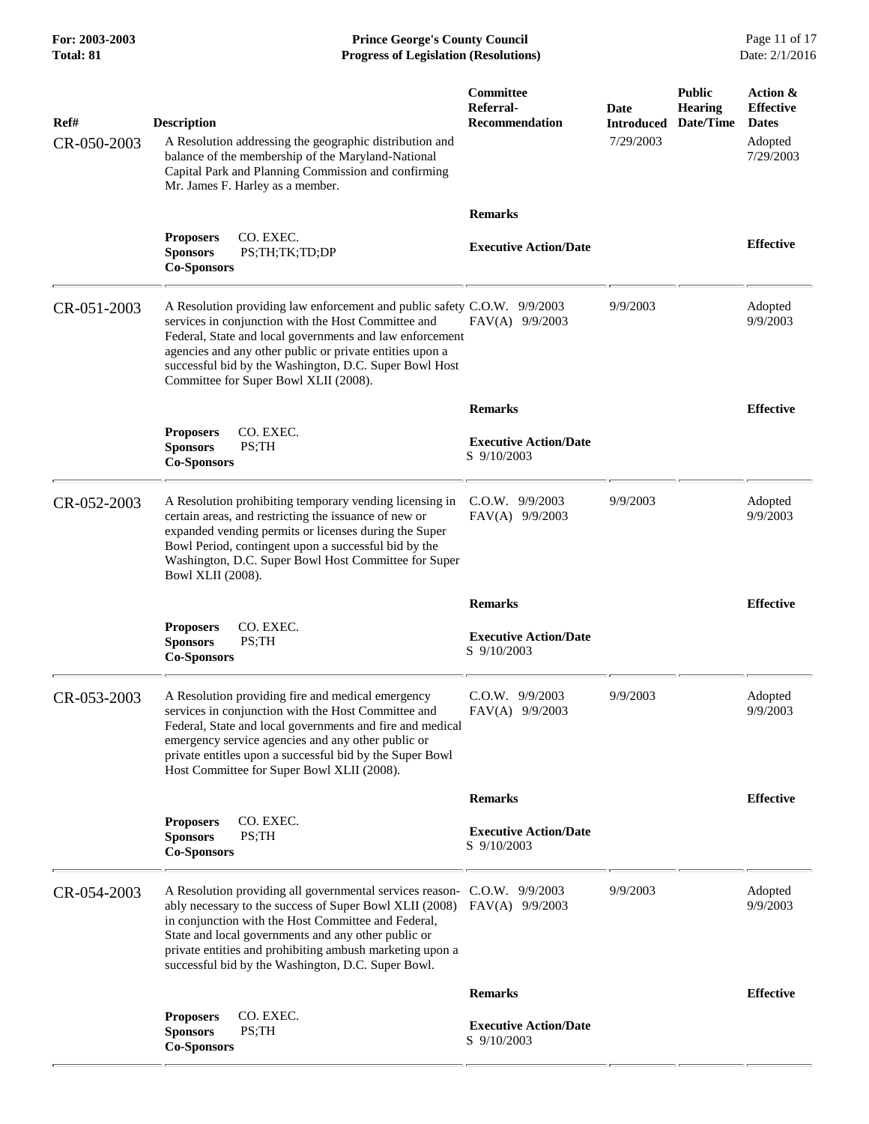**For: 2003-2003 Prince George's County Council** Page 11 of 17<br> **Prince George's County Council** Page 11 of 17<br> **Progress of Legislation (Resolutions)** Date: 2/1/2016 **Total: 81 Progress of Legislation (Resolutions)** 

| Ref#<br>CR-050-2003 | <b>Description</b><br>A Resolution addressing the geographic distribution and<br>balance of the membership of the Maryland-National<br>Capital Park and Planning Commission and confirming<br>Mr. James F. Harley as a member.                                                                                                                                                      | Committee<br>Referral-<br><b>Recommendation</b> | Date<br><b>Introduced</b><br>7/29/2003 | <b>Public</b><br><b>Hearing</b><br>Date/Time | Action &<br><b>Effective</b><br><b>Dates</b><br>Adopted<br>7/29/2003 |
|---------------------|-------------------------------------------------------------------------------------------------------------------------------------------------------------------------------------------------------------------------------------------------------------------------------------------------------------------------------------------------------------------------------------|-------------------------------------------------|----------------------------------------|----------------------------------------------|----------------------------------------------------------------------|
|                     |                                                                                                                                                                                                                                                                                                                                                                                     | <b>Remarks</b>                                  |                                        |                                              |                                                                      |
|                     | CO. EXEC.<br><b>Proposers</b><br><b>Sponsors</b><br>PS;TH;TK;TD;DP<br><b>Co-Sponsors</b>                                                                                                                                                                                                                                                                                            | <b>Executive Action/Date</b>                    |                                        |                                              | <b>Effective</b>                                                     |
| CR-051-2003         | A Resolution providing law enforcement and public safety C.O.W. 9/9/2003<br>services in conjunction with the Host Committee and<br>Federal, State and local governments and law enforcement<br>agencies and any other public or private entities upon a<br>successful bid by the Washington, D.C. Super Bowl Host<br>Committee for Super Bowl XLII (2008).                          | FAV(A) 9/9/2003                                 | 9/9/2003                               |                                              | Adopted<br>9/9/2003                                                  |
|                     |                                                                                                                                                                                                                                                                                                                                                                                     | <b>Remarks</b>                                  |                                        |                                              | <b>Effective</b>                                                     |
|                     | <b>Proposers</b><br>CO. EXEC.<br><b>Sponsors</b><br>PS;TH<br><b>Co-Sponsors</b>                                                                                                                                                                                                                                                                                                     | <b>Executive Action/Date</b><br>S 9/10/2003     |                                        |                                              |                                                                      |
| CR-052-2003         | A Resolution prohibiting temporary vending licensing in<br>certain areas, and restricting the issuance of new or<br>expanded vending permits or licenses during the Super<br>Bowl Period, contingent upon a successful bid by the<br>Washington, D.C. Super Bowl Host Committee for Super<br><b>Bowl XLII</b> (2008).                                                               | $C.0.W.$ 9/9/2003<br>FAV(A) 9/9/2003            | 9/9/2003                               |                                              | Adopted<br>9/9/2003                                                  |
|                     |                                                                                                                                                                                                                                                                                                                                                                                     | <b>Remarks</b>                                  |                                        |                                              | <b>Effective</b>                                                     |
|                     | CO. EXEC.<br><b>Proposers</b><br><b>Sponsors</b><br>PS;TH<br><b>Co-Sponsors</b>                                                                                                                                                                                                                                                                                                     | <b>Executive Action/Date</b><br>S 9/10/2003     |                                        |                                              |                                                                      |
| CR-053-2003         | A Resolution providing fire and medical emergency<br>services in conjunction with the Host Committee and<br>Federal, State and local governments and fire and medical<br>emergency service agencies and any other public or<br>private entitles upon a successful bid by the Super Bowl<br>Host Committee for Super Bowl XLII (2008).                                               | $C.0.W.$ 9/9/2003<br>FAV(A) 9/9/2003            | 9/9/2003                               |                                              | Adopted<br>9/9/2003                                                  |
|                     |                                                                                                                                                                                                                                                                                                                                                                                     | <b>Remarks</b>                                  |                                        |                                              | <b>Effective</b>                                                     |
|                     | CO. EXEC.<br><b>Proposers</b><br><b>Sponsors</b><br>PS;TH<br><b>Co-Sponsors</b>                                                                                                                                                                                                                                                                                                     | <b>Executive Action/Date</b><br>S 9/10/2003     |                                        |                                              |                                                                      |
| CR-054-2003         | A Resolution providing all governmental services reason- C.O.W. 9/9/2003<br>ably necessary to the success of Super Bowl XLII (2008) FAV(A) 9/9/2003<br>in conjunction with the Host Committee and Federal,<br>State and local governments and any other public or<br>private entities and prohibiting ambush marketing upon a<br>successful bid by the Washington, D.C. Super Bowl. |                                                 | 9/9/2003                               |                                              | Adopted<br>9/9/2003                                                  |
|                     |                                                                                                                                                                                                                                                                                                                                                                                     | <b>Remarks</b>                                  |                                        |                                              | <b>Effective</b>                                                     |
|                     | CO. EXEC.<br><b>Proposers</b><br><b>Sponsors</b><br>PS;TH<br><b>Co-Sponsors</b>                                                                                                                                                                                                                                                                                                     | <b>Executive Action/Date</b><br>S 9/10/2003     |                                        |                                              |                                                                      |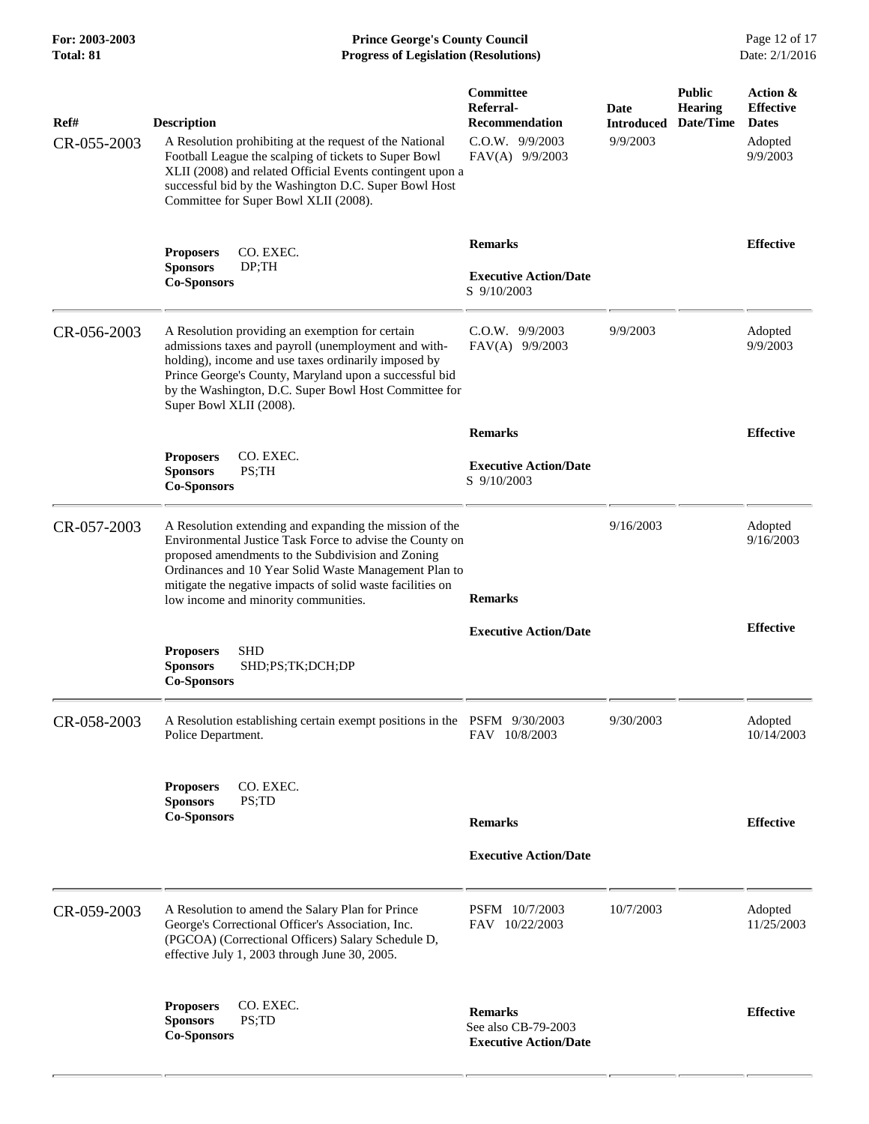## **For: 2003-2003 Prince George's County Council** Page 12 of 17<br> **Prince George's County Council** Page 12 of 17<br> **Progress of Legislation (Resolutions)** Date: 2/1/2016 **Total: 81 Progress of Legislation (Resolutions)**

| Ref#<br>CR-055-2003 | <b>Description</b><br>A Resolution prohibiting at the request of the National<br>Football League the scalping of tickets to Super Bowl<br>XLII (2008) and related Official Events contingent upon a<br>successful bid by the Washington D.C. Super Bowl Host<br>Committee for Super Bowl XLII (2008).                                   | Committee<br>Referral-<br><b>Recommendation</b><br>$C.0.W.$ 9/9/2003<br>FAV(A) 9/9/2003 | Date<br><b>Introduced</b><br>9/9/2003 | <b>Public</b><br><b>Hearing</b><br>Date/Time | Action &<br><b>Effective</b><br><b>Dates</b><br>Adopted<br>9/9/2003 |
|---------------------|-----------------------------------------------------------------------------------------------------------------------------------------------------------------------------------------------------------------------------------------------------------------------------------------------------------------------------------------|-----------------------------------------------------------------------------------------|---------------------------------------|----------------------------------------------|---------------------------------------------------------------------|
|                     | <b>Proposers</b><br>CO. EXEC.<br><b>Sponsors</b><br>DP;TH<br><b>Co-Sponsors</b>                                                                                                                                                                                                                                                         | <b>Remarks</b><br><b>Executive Action/Date</b><br>S 9/10/2003                           |                                       |                                              | <b>Effective</b>                                                    |
| CR-056-2003         | A Resolution providing an exemption for certain<br>admissions taxes and payroll (unemployment and with-<br>holding), income and use taxes ordinarily imposed by<br>Prince George's County, Maryland upon a successful bid<br>by the Washington, D.C. Super Bowl Host Committee for<br>Super Bowl XLII (2008).                           | $C.O.W.$ 9/9/2003<br>FAV(A) 9/9/2003                                                    | 9/9/2003                              |                                              | Adopted<br>9/9/2003                                                 |
|                     |                                                                                                                                                                                                                                                                                                                                         | <b>Remarks</b>                                                                          |                                       |                                              | <b>Effective</b>                                                    |
|                     | CO. EXEC.<br><b>Proposers</b><br><b>Sponsors</b><br>PS;TH<br><b>Co-Sponsors</b>                                                                                                                                                                                                                                                         | <b>Executive Action/Date</b><br>S 9/10/2003                                             |                                       |                                              |                                                                     |
| CR-057-2003         | A Resolution extending and expanding the mission of the<br>Environmental Justice Task Force to advise the County on<br>proposed amendments to the Subdivision and Zoning<br>Ordinances and 10 Year Solid Waste Management Plan to<br>mitigate the negative impacts of solid waste facilities on<br>low income and minority communities. | <b>Remarks</b>                                                                          | 9/16/2003                             |                                              | Adopted<br>9/16/2003                                                |
|                     |                                                                                                                                                                                                                                                                                                                                         | <b>Executive Action/Date</b>                                                            |                                       |                                              | <b>Effective</b>                                                    |
|                     | <b>SHD</b><br><b>Proposers</b><br><b>Sponsors</b><br>SHD;PS;TK;DCH;DP<br><b>Co-Sponsors</b>                                                                                                                                                                                                                                             |                                                                                         |                                       |                                              |                                                                     |
| CR-058-2003         | A Resolution establishing certain exempt positions in the PSFM 9/30/2003<br>Police Department.                                                                                                                                                                                                                                          | FAV 10/8/2003                                                                           | 9/30/2003                             |                                              | Adopted<br>10/14/2003                                               |
|                     | CO. EXEC.<br><b>Proposers</b><br><b>Sponsors</b><br>PS;TD<br><b>Co-Sponsors</b>                                                                                                                                                                                                                                                         | <b>Remarks</b><br><b>Executive Action/Date</b>                                          |                                       |                                              | <b>Effective</b>                                                    |
|                     |                                                                                                                                                                                                                                                                                                                                         |                                                                                         |                                       |                                              |                                                                     |
| CR-059-2003         | A Resolution to amend the Salary Plan for Prince<br>George's Correctional Officer's Association, Inc.<br>(PGCOA) (Correctional Officers) Salary Schedule D,<br>effective July 1, 2003 through June 30, 2005.                                                                                                                            | PSFM 10/7/2003<br>FAV 10/22/2003                                                        | 10/7/2003                             |                                              | Adopted<br>11/25/2003                                               |
|                     | <b>Proposers</b><br>CO. EXEC.<br>PS;TD<br><b>Sponsors</b><br><b>Co-Sponsors</b>                                                                                                                                                                                                                                                         | <b>Remarks</b><br>See also CB-79-2003<br><b>Executive Action/Date</b>                   |                                       |                                              | <b>Effective</b>                                                    |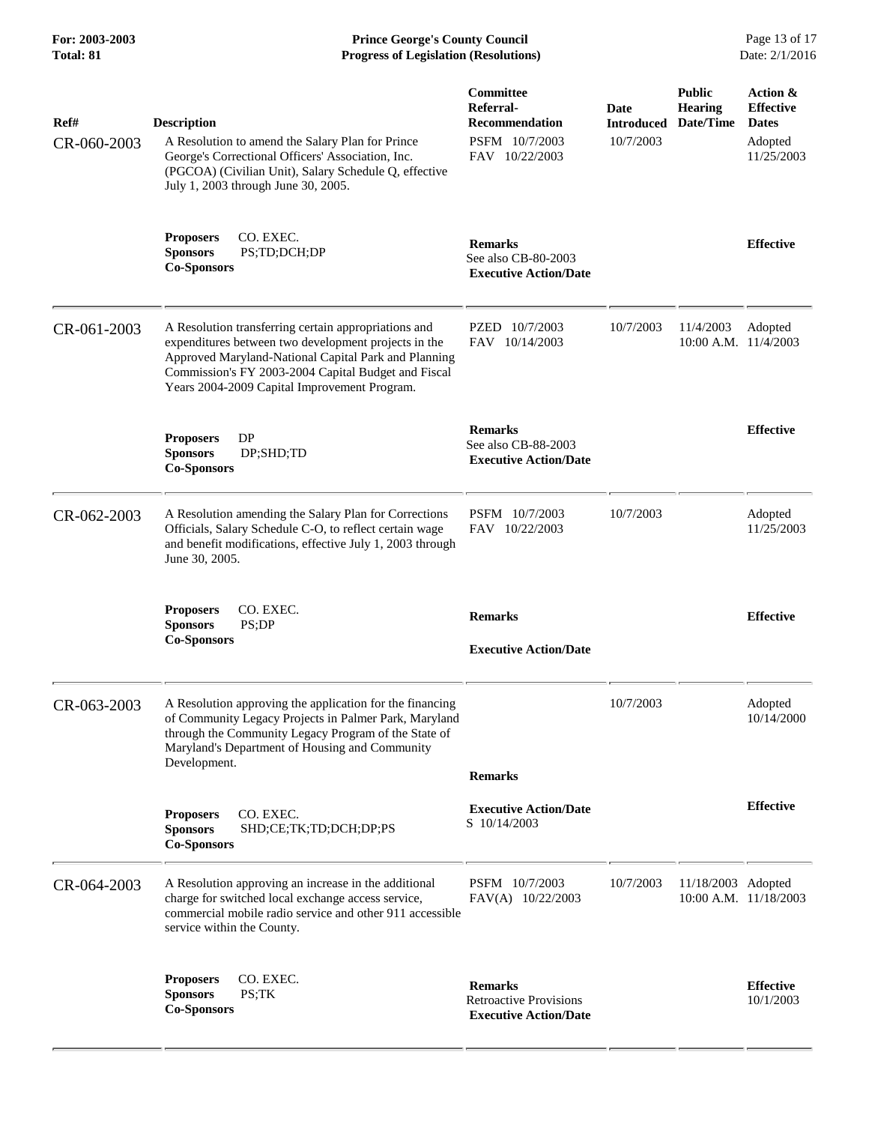**For: 2003-2003 Prince George's County Council** Page 13 of 17<br> **Prince George's County Council** Page 13 of 17<br> **Progress of Legislation (Resolutions)** Date: 2/1/2016 **Total: 81 Progress of Legislation (Resolutions)** 

| Ref#<br>CR-060-2003 | <b>Description</b><br>A Resolution to amend the Salary Plan for Prince<br>George's Correctional Officers' Association, Inc.<br>(PGCOA) (Civilian Unit), Salary Schedule Q, effective<br>July 1, 2003 through June 30, 2005.                                                 | Committee<br>Referral-<br><b>Recommendation</b><br>PSFM 10/7/2003<br>FAV 10/22/2003 | <b>Date</b><br><b>Introduced</b><br>10/7/2003 | <b>Public</b><br><b>Hearing</b><br>Date/Time | Action &<br><b>Effective</b><br><b>Dates</b><br>Adopted<br>11/25/2003 |
|---------------------|-----------------------------------------------------------------------------------------------------------------------------------------------------------------------------------------------------------------------------------------------------------------------------|-------------------------------------------------------------------------------------|-----------------------------------------------|----------------------------------------------|-----------------------------------------------------------------------|
|                     | CO. EXEC.<br><b>Proposers</b><br><b>Sponsors</b><br>PS;TD;DCH;DP<br><b>Co-Sponsors</b>                                                                                                                                                                                      | <b>Remarks</b><br>See also CB-80-2003<br><b>Executive Action/Date</b>               |                                               |                                              | <b>Effective</b>                                                      |
| CR-061-2003         | A Resolution transferring certain appropriations and<br>expenditures between two development projects in the<br>Approved Maryland-National Capital Park and Planning<br>Commission's FY 2003-2004 Capital Budget and Fiscal<br>Years 2004-2009 Capital Improvement Program. | PZED 10/7/2003<br>FAV 10/14/2003                                                    | 10/7/2003                                     | 11/4/2003<br>10:00 A.M. 11/4/2003            | Adopted                                                               |
|                     | DP<br><b>Proposers</b><br><b>Sponsors</b><br>DP;SHD;TD<br><b>Co-Sponsors</b>                                                                                                                                                                                                | <b>Remarks</b><br>See also CB-88-2003<br><b>Executive Action/Date</b>               |                                               |                                              | <b>Effective</b>                                                      |
| CR-062-2003         | A Resolution amending the Salary Plan for Corrections<br>Officials, Salary Schedule C-O, to reflect certain wage<br>and benefit modifications, effective July 1, 2003 through<br>June 30, 2005.                                                                             | PSFM 10/7/2003<br>FAV 10/22/2003                                                    | 10/7/2003                                     |                                              | Adopted<br>11/25/2003                                                 |
|                     | CO. EXEC.<br><b>Proposers</b><br><b>Sponsors</b><br>PS;DP<br><b>Co-Sponsors</b>                                                                                                                                                                                             | <b>Remarks</b><br><b>Executive Action/Date</b>                                      |                                               |                                              | <b>Effective</b>                                                      |
| CR-063-2003         | A Resolution approving the application for the financing<br>of Community Legacy Projects in Palmer Park, Maryland<br>through the Community Legacy Program of the State of<br>Maryland's Department of Housing and Community<br>Development.                                 | <b>Remarks</b>                                                                      | 10/7/2003                                     |                                              | Adopted<br>10/14/2000                                                 |
|                     | CO. EXEC.<br><b>Proposers</b><br><b>Sponsors</b><br>SHD;CE;TK;TD;DCH;DP;PS<br><b>Co-Sponsors</b>                                                                                                                                                                            | <b>Executive Action/Date</b><br>S 10/14/2003                                        |                                               |                                              | <b>Effective</b>                                                      |
| CR-064-2003         | A Resolution approving an increase in the additional<br>charge for switched local exchange access service,<br>commercial mobile radio service and other 911 accessible<br>service within the County.                                                                        | PSFM 10/7/2003<br>FAV(A) 10/22/2003                                                 | 10/7/2003                                     | 11/18/2003 Adopted                           | 10:00 A.M. 11/18/2003                                                 |
|                     | CO. EXEC.<br><b>Proposers</b><br><b>Sponsors</b><br>PS;TK<br><b>Co-Sponsors</b>                                                                                                                                                                                             | <b>Remarks</b><br><b>Retroactive Provisions</b><br><b>Executive Action/Date</b>     |                                               |                                              | <b>Effective</b><br>10/1/2003                                         |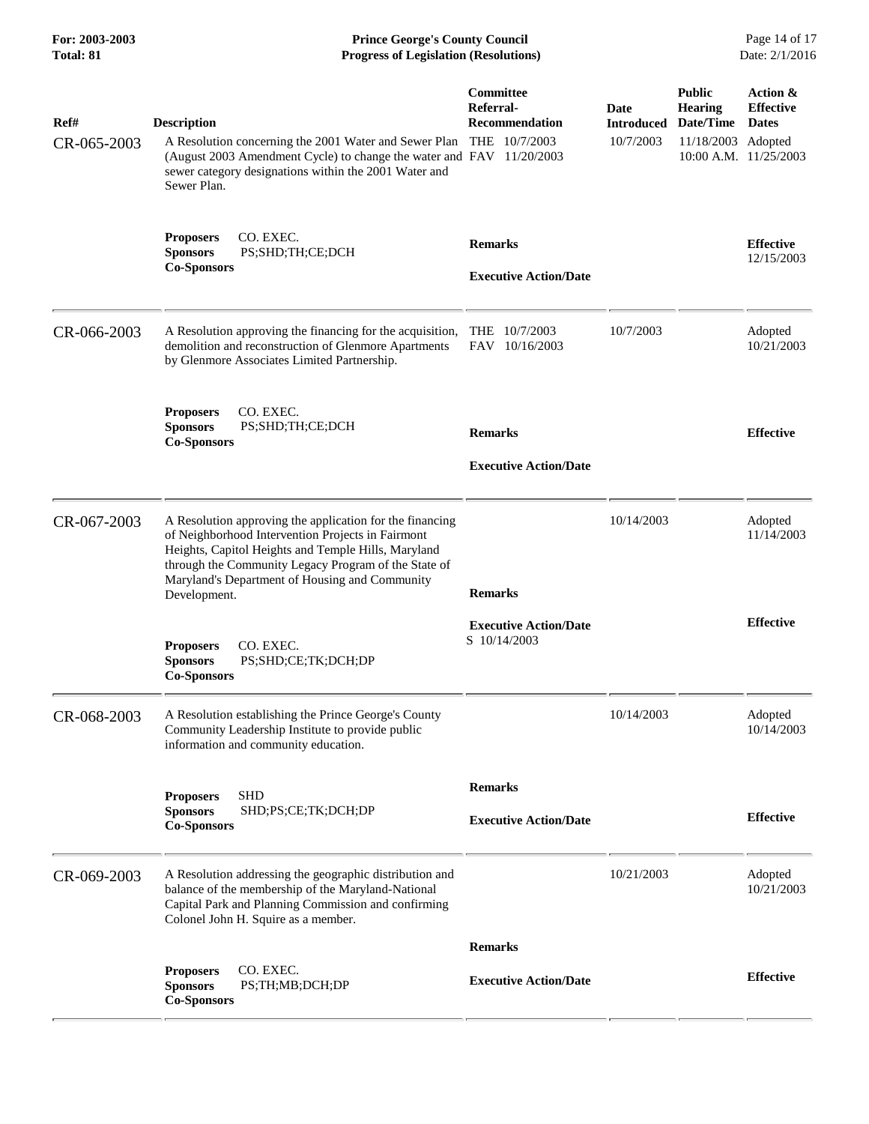| For: 2003-2003<br>Total: 81 | <b>Prince George's County Council</b><br><b>Progress of Legislation (Resolutions)</b>                                                                                                                                                                                                          |                                                                         |                                        |                                                                    | Page 14 of 17<br>Date: 2/1/2016                                           |
|-----------------------------|------------------------------------------------------------------------------------------------------------------------------------------------------------------------------------------------------------------------------------------------------------------------------------------------|-------------------------------------------------------------------------|----------------------------------------|--------------------------------------------------------------------|---------------------------------------------------------------------------|
| Ref#<br>CR-065-2003         | <b>Description</b><br>A Resolution concerning the 2001 Water and Sewer Plan<br>(August 2003 Amendment Cycle) to change the water and FAV 11/20/2003<br>sewer category designations within the 2001 Water and<br>Sewer Plan.                                                                    | <b>Committee</b><br>Referral-<br><b>Recommendation</b><br>THE 10/7/2003 | Date<br><b>Introduced</b><br>10/7/2003 | <b>Public</b><br><b>Hearing</b><br>Date/Time<br>11/18/2003 Adopted | Action &<br><b>Effective</b><br><b>Dates</b><br>$10:00$ A.M. $11/25/2003$ |
|                             | CO. EXEC.<br><b>Proposers</b><br><b>Sponsors</b><br>PS;SHD;TH;CE;DCH<br><b>Co-Sponsors</b>                                                                                                                                                                                                     | <b>Remarks</b><br><b>Executive Action/Date</b>                          |                                        |                                                                    | <b>Effective</b><br>12/15/2003                                            |
| CR-066-2003                 | A Resolution approving the financing for the acquisition,<br>demolition and reconstruction of Glenmore Apartments<br>by Glenmore Associates Limited Partnership.                                                                                                                               | THE 10/7/2003<br>FAV 10/16/2003                                         | 10/7/2003                              |                                                                    | Adopted<br>10/21/2003                                                     |
|                             | CO. EXEC.<br><b>Proposers</b><br>PS;SHD;TH;CE;DCH<br><b>Sponsors</b><br><b>Co-Sponsors</b>                                                                                                                                                                                                     | <b>Remarks</b><br><b>Executive Action/Date</b>                          |                                        |                                                                    | <b>Effective</b>                                                          |
| CR-067-2003                 | A Resolution approving the application for the financing<br>of Neighborhood Intervention Projects in Fairmont<br>Heights, Capitol Heights and Temple Hills, Maryland<br>through the Community Legacy Program of the State of<br>Maryland's Department of Housing and Community<br>Development. | <b>Remarks</b>                                                          | 10/14/2003                             |                                                                    | Adopted<br>11/14/2003                                                     |
|                             | CO. EXEC.<br><b>Proposers</b><br>PS;SHD;CE;TK;DCH;DP<br><b>Sponsors</b><br><b>Co-Sponsors</b>                                                                                                                                                                                                  | <b>Executive Action/Date</b><br>S 10/14/2003                            |                                        |                                                                    | <b>Effective</b>                                                          |
| CR-068-2003                 | A Resolution establishing the Prince George's County<br>Community Leadership Institute to provide public<br>information and community education.                                                                                                                                               |                                                                         | 10/14/2003                             |                                                                    | Adopted<br>10/14/2003                                                     |
|                             | <b>SHD</b><br><b>Proposers</b><br><b>Sponsors</b><br>SHD;PS;CE;TK;DCH;DP<br><b>Co-Sponsors</b>                                                                                                                                                                                                 | <b>Remarks</b><br><b>Executive Action/Date</b>                          |                                        |                                                                    | <b>Effective</b>                                                          |
| CR-069-2003                 | A Resolution addressing the geographic distribution and<br>balance of the membership of the Maryland-National<br>Capital Park and Planning Commission and confirming<br>Colonel John H. Squire as a member.                                                                                    |                                                                         | 10/21/2003                             |                                                                    | Adopted<br>10/21/2003                                                     |
|                             |                                                                                                                                                                                                                                                                                                | <b>Remarks</b>                                                          |                                        |                                                                    |                                                                           |
|                             | CO. EXEC.<br><b>Proposers</b><br><b>Sponsors</b><br>PS;TH;MB;DCH;DP<br><b>Co-Sponsors</b>                                                                                                                                                                                                      | <b>Executive Action/Date</b>                                            |                                        |                                                                    | <b>Effective</b>                                                          |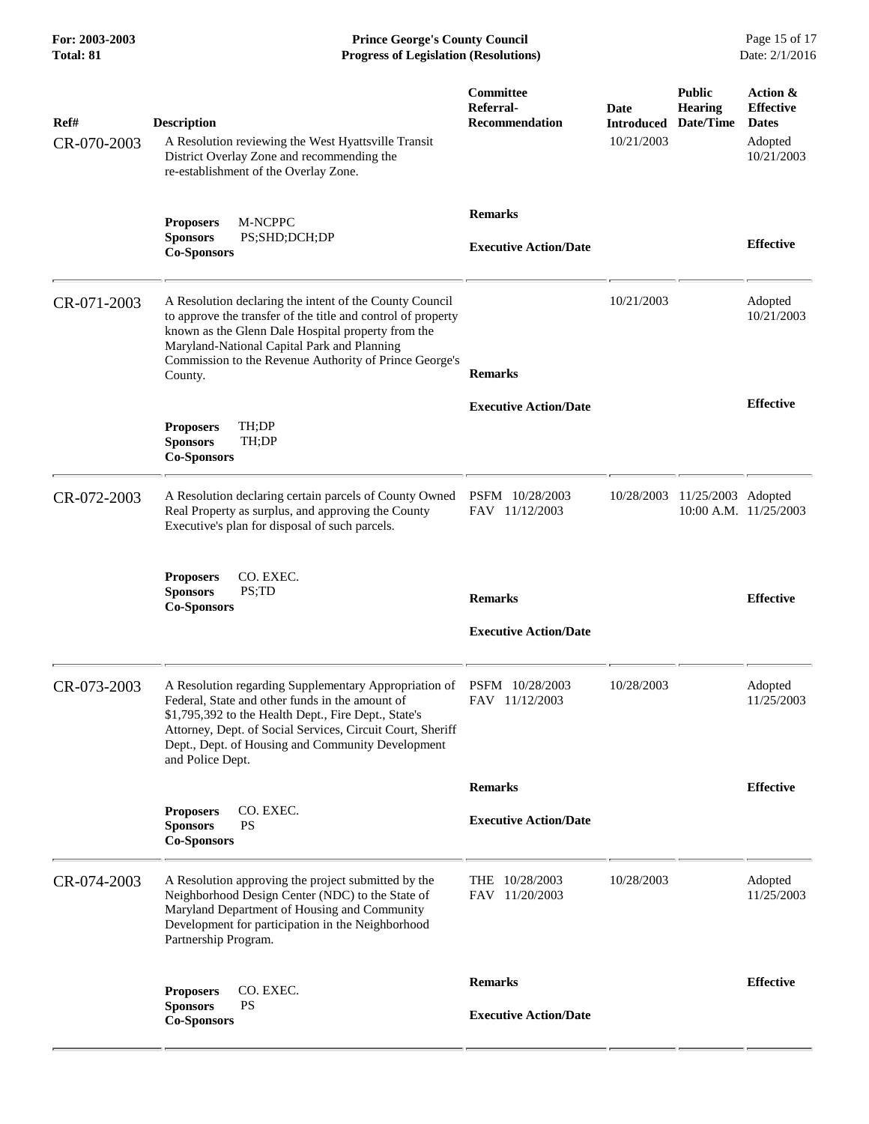**For: 2003-2003 Prince George's County Council** Page 15 of 17<br> **Prince George's County Council** Page 15 of 17<br> **Progress of Legislation (Resolutions)** Date: 2/1/2016 **Total: 81 Progress of Legislation (Resolutions)** 

| Ref#<br>CR-070-2003 | <b>Description</b><br>A Resolution reviewing the West Hyattsville Transit<br>District Overlay Zone and recommending the<br>re-establishment of the Overlay Zone.                                                                                                                                        | Committee<br>Referral-<br><b>Recommendation</b> | Date<br><b>Introduced</b><br>10/21/2003 | <b>Public</b><br><b>Hearing</b><br>Date/Time | Action &<br><b>Effective</b><br><b>Dates</b><br>Adopted<br>10/21/2003 |
|---------------------|---------------------------------------------------------------------------------------------------------------------------------------------------------------------------------------------------------------------------------------------------------------------------------------------------------|-------------------------------------------------|-----------------------------------------|----------------------------------------------|-----------------------------------------------------------------------|
|                     | <b>M-NCPPC</b><br><b>Proposers</b><br>PS;SHD;DCH;DP<br><b>Sponsors</b><br><b>Co-Sponsors</b>                                                                                                                                                                                                            | <b>Remarks</b><br><b>Executive Action/Date</b>  |                                         |                                              | <b>Effective</b>                                                      |
| CR-071-2003         | A Resolution declaring the intent of the County Council<br>to approve the transfer of the title and control of property<br>known as the Glenn Dale Hospital property from the<br>Maryland-National Capital Park and Planning<br>Commission to the Revenue Authority of Prince George's<br>County.       | <b>Remarks</b>                                  | 10/21/2003                              |                                              | Adopted<br>10/21/2003                                                 |
|                     | TH;DP<br><b>Proposers</b><br>TH;DP<br><b>Sponsors</b><br><b>Co-Sponsors</b>                                                                                                                                                                                                                             | <b>Executive Action/Date</b>                    |                                         |                                              | <b>Effective</b>                                                      |
| CR-072-2003         | A Resolution declaring certain parcels of County Owned<br>Real Property as surplus, and approving the County<br>Executive's plan for disposal of such parcels.                                                                                                                                          | PSFM 10/28/2003<br>FAV 11/12/2003               | 10/28/2003                              | 11/25/2003 Adopted                           | 10:00 A.M. 11/25/2003                                                 |
|                     | CO. EXEC.<br><b>Proposers</b><br><b>Sponsors</b><br>PS;TD<br><b>Co-Sponsors</b>                                                                                                                                                                                                                         | <b>Remarks</b><br><b>Executive Action/Date</b>  |                                         |                                              | <b>Effective</b>                                                      |
| CR-073-2003         | A Resolution regarding Supplementary Appropriation of<br>Federal, State and other funds in the amount of<br>\$1,795,392 to the Health Dept., Fire Dept., State's<br>Attorney, Dept. of Social Services, Circuit Court, Sheriff<br>Dept., Dept. of Housing and Community Development<br>and Police Dept. | PSFM 10/28/2003<br>FAV 11/12/2003               | 10/28/2003                              |                                              | Adopted<br>11/25/2003                                                 |
|                     |                                                                                                                                                                                                                                                                                                         | <b>Remarks</b>                                  |                                         |                                              | <b>Effective</b>                                                      |
|                     | CO. EXEC.<br><b>Proposers</b><br><b>PS</b><br><b>Sponsors</b><br><b>Co-Sponsors</b>                                                                                                                                                                                                                     | <b>Executive Action/Date</b>                    |                                         |                                              |                                                                       |
| CR-074-2003         | A Resolution approving the project submitted by the<br>Neighborhood Design Center (NDC) to the State of<br>Maryland Department of Housing and Community<br>Development for participation in the Neighborhood<br>Partnership Program.                                                                    | THE 10/28/2003<br>FAV 11/20/2003                | 10/28/2003                              |                                              | Adopted<br>11/25/2003                                                 |
|                     | CO. EXEC.<br><b>Proposers</b>                                                                                                                                                                                                                                                                           | <b>Remarks</b>                                  |                                         |                                              | <b>Effective</b>                                                      |
|                     | <b>PS</b><br><b>Sponsors</b><br><b>Co-Sponsors</b>                                                                                                                                                                                                                                                      | <b>Executive Action/Date</b>                    |                                         |                                              |                                                                       |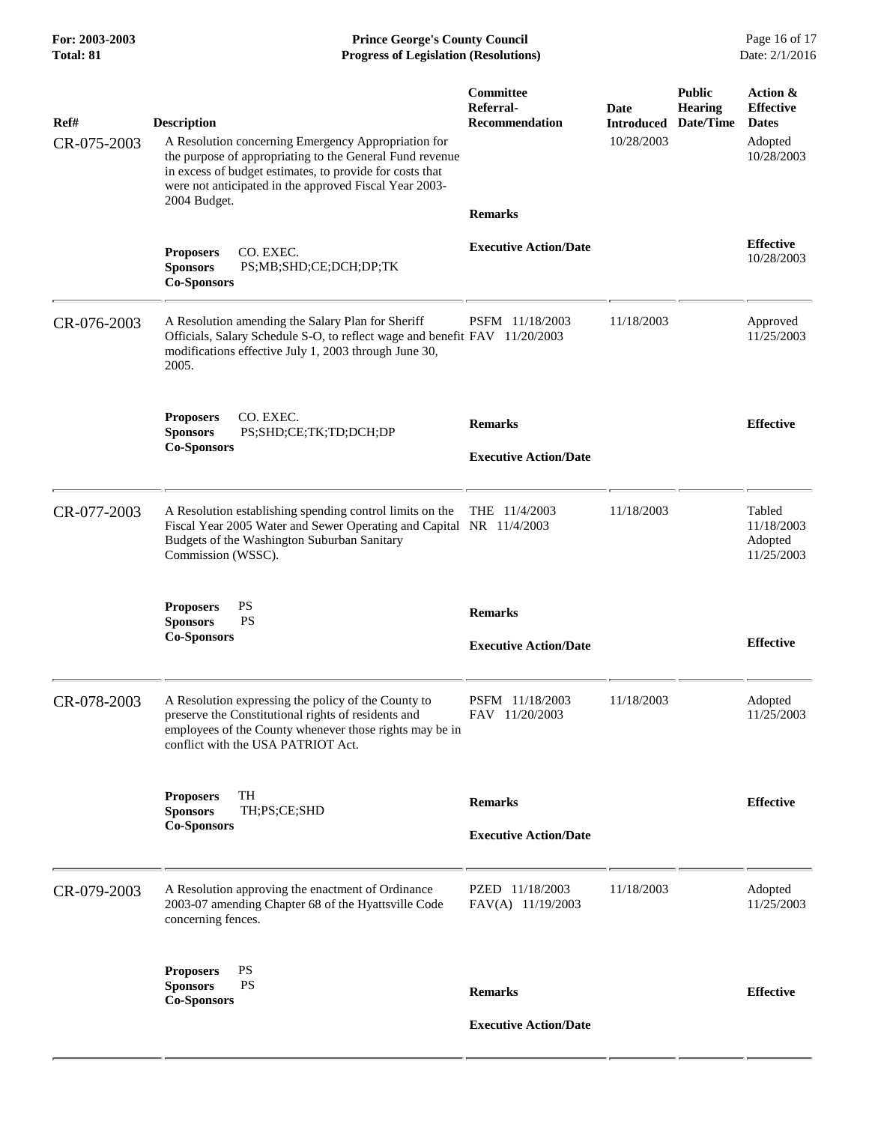| For: 2003-2003<br><b>Total: 81</b> | <b>Prince George's County Council</b><br><b>Progress of Legislation (Resolutions)</b>                                                                                                                                                                                       |                                                                   |                                                   |                                 | Page 16 of 17<br>Date: 2/1/2016                                       |  |
|------------------------------------|-----------------------------------------------------------------------------------------------------------------------------------------------------------------------------------------------------------------------------------------------------------------------------|-------------------------------------------------------------------|---------------------------------------------------|---------------------------------|-----------------------------------------------------------------------|--|
| Ref#<br>CR-075-2003                | <b>Description</b><br>A Resolution concerning Emergency Appropriation for<br>the purpose of appropriating to the General Fund revenue<br>in excess of budget estimates, to provide for costs that<br>were not anticipated in the approved Fiscal Year 2003-<br>2004 Budget. | Committee<br>Referral-<br><b>Recommendation</b><br><b>Remarks</b> | Date<br><b>Introduced Date/Time</b><br>10/28/2003 | <b>Public</b><br><b>Hearing</b> | Action &<br><b>Effective</b><br><b>Dates</b><br>Adopted<br>10/28/2003 |  |
|                                    | <b>Proposers</b><br>CO. EXEC.<br><b>Sponsors</b><br>PS;MB;SHD;CE;DCH;DP;TK<br><b>Co-Sponsors</b>                                                                                                                                                                            | <b>Executive Action/Date</b>                                      |                                                   |                                 | <b>Effective</b><br>10/28/2003                                        |  |
| CR-076-2003                        | A Resolution amending the Salary Plan for Sheriff<br>Officials, Salary Schedule S-O, to reflect wage and benefit FAV 11/20/2003<br>modifications effective July 1, 2003 through June 30,<br>2005.                                                                           | PSFM 11/18/2003                                                   | 11/18/2003                                        |                                 | Approved<br>11/25/2003                                                |  |
|                                    | CO. EXEC.<br><b>Proposers</b><br><b>Sponsors</b><br>PS;SHD;CE;TK;TD;DCH;DP<br><b>Co-Sponsors</b>                                                                                                                                                                            | <b>Remarks</b><br><b>Executive Action/Date</b>                    |                                                   |                                 | <b>Effective</b>                                                      |  |
| CR-077-2003                        | A Resolution establishing spending control limits on the<br>Fiscal Year 2005 Water and Sewer Operating and Capital NR 11/4/2003<br>Budgets of the Washington Suburban Sanitary<br>Commission (WSSC).                                                                        | THE 11/4/2003                                                     | 11/18/2003                                        |                                 | Tabled<br>11/18/2003<br>Adopted<br>11/25/2003                         |  |
|                                    | PS<br><b>Proposers</b><br><b>PS</b><br><b>Sponsors</b><br><b>Co-Sponsors</b>                                                                                                                                                                                                | <b>Remarks</b><br><b>Executive Action/Date</b>                    |                                                   |                                 | <b>Effective</b>                                                      |  |
| CR-078-2003                        | A Resolution expressing the policy of the County to<br>preserve the Constitutional rights of residents and<br>employees of the County whenever those rights may be in<br>conflict with the USA PATRIOT Act.                                                                 | PSFM 11/18/2003<br>FAV 11/20/2003                                 | 11/18/2003                                        |                                 | Adopted<br>11/25/2003                                                 |  |
|                                    | TH<br><b>Proposers</b><br>TH;PS;CE;SHD<br><b>Sponsors</b><br><b>Co-Sponsors</b>                                                                                                                                                                                             | <b>Remarks</b><br><b>Executive Action/Date</b>                    |                                                   |                                 | <b>Effective</b>                                                      |  |
| CR-079-2003                        | A Resolution approving the enactment of Ordinance<br>2003-07 amending Chapter 68 of the Hyattsville Code<br>concerning fences.                                                                                                                                              | PZED 11/18/2003<br>FAV(A) 11/19/2003                              | 11/18/2003                                        |                                 | Adopted<br>11/25/2003                                                 |  |
|                                    | PS<br><b>Proposers</b><br><b>Sponsors</b><br><b>PS</b><br><b>Co-Sponsors</b>                                                                                                                                                                                                | <b>Remarks</b>                                                    |                                                   |                                 | <b>Effective</b>                                                      |  |
|                                    |                                                                                                                                                                                                                                                                             | <b>Executive Action/Date</b>                                      |                                                   |                                 |                                                                       |  |